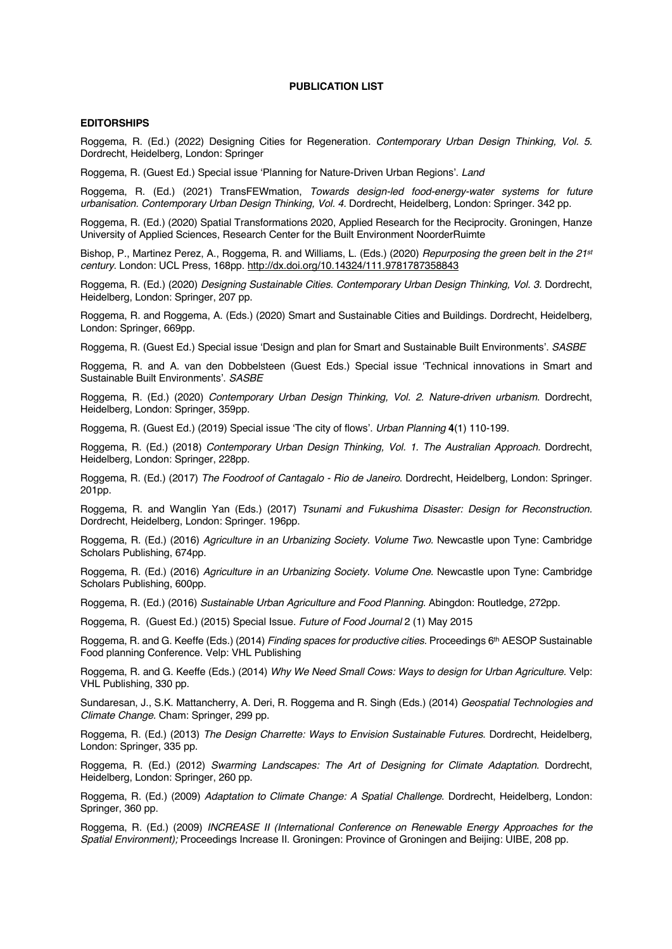### **PUBLICATION LIST**

#### **EDITORSHIPS**

Roggema, R. (Ed.) (2022) Designing Cities for Regeneration*. Contemporary Urban Design Thinking, Vol. 5.*  Dordrecht, Heidelberg, London: Springer

Roggema, R. (Guest Ed.) Special issue 'Planning for Nature-Driven Urban Regions'. *Land*

Roggema, R. (Ed.) (2021) TransFEWmation, *Towards design-led food-energy-water systems for future urbanisation. Contemporary Urban Design Thinking, Vol. 4.* Dordrecht, Heidelberg, London: Springer. 342 pp.

Roggema, R. (Ed.) (2020) Spatial Transformations 2020, Applied Research for the Reciprocity. Groningen, Hanze University of Applied Sciences, Research Center for the Built Environment NoorderRuimte

Bishop, P., Martinez Perez, A., Roggema, R. and Williams, L. (Eds.) (2020) *Repurposing the green belt in the 21st century*. London: UCL Press, 168pp. http://dx.doi.org/10.14324/111.9781787358843

Roggema, R. (Ed.) (2020) *Designing Sustainable Cities. Contemporary Urban Design Thinking, Vol. 3.* Dordrecht, Heidelberg, London: Springer, 207 pp.

Roggema, R. and Roggema, A. (Eds.) (2020) Smart and Sustainable Cities and Buildings. Dordrecht, Heidelberg, London: Springer, 669pp.

Roggema, R. (Guest Ed.) Special issue 'Design and plan for Smart and Sustainable Built Environments'. *SASBE*

Roggema, R. and A. van den Dobbelsteen (Guest Eds.) Special issue 'Technical innovations in Smart and Sustainable Built Environments'. *SASBE*

Roggema, R. (Ed.) (2020) *Contemporary Urban Design Thinking, Vol. 2. Nature-driven urbanism*. Dordrecht, Heidelberg, London: Springer, 359pp.

Roggema, R. (Guest Ed.) (2019) Special issue 'The city of flows'. *Urban Planning* **4**(1) 110-199.

Roggema, R. (Ed.) (2018) *Contemporary Urban Design Thinking, Vol. 1. The Australian Approach.* Dordrecht, Heidelberg, London: Springer, 228pp.

Roggema, R. (Ed.) (2017) *The Foodroof of Cantagalo - Rio de Janeiro*. Dordrecht, Heidelberg, London: Springer. 201pp.

Roggema, R. and Wanglin Yan (Eds.) (2017) *Tsunami and Fukushima Disaster: Design for Reconstruction.* Dordrecht, Heidelberg, London: Springer. 196pp.

Roggema, R. (Ed.) (2016) *Agriculture in an Urbanizing Society. Volume Two.* Newcastle upon Tyne: Cambridge Scholars Publishing, 674pp.

Roggema, R. (Ed.) (2016) *Agriculture in an Urbanizing Society. Volume One.* Newcastle upon Tyne: Cambridge Scholars Publishing, 600pp.

Roggema, R. (Ed.) (2016) *Sustainable Urban Agriculture and Food Planning*. Abingdon: Routledge, 272pp.

Roggema, R. (Guest Ed.) (2015) Special Issue. *Future of Food Journal* 2 (1) May 2015

Roggema, R. and G. Keeffe (Eds.) (2014) *Finding spaces for productive cities.* Proceedings 6th AESOP Sustainable Food planning Conference. Velp: VHL Publishing

Roggema, R. and G. Keeffe (Eds.) (2014) *Why We Need Small Cows: Ways to design for Urban Agriculture.* Velp: VHL Publishing, 330 pp.

Sundaresan, J., S.K. Mattancherry, A. Deri, R. Roggema and R. Singh (Eds.) (2014) *Geospatial Technologies and Climate Change.* Cham: Springer, 299 pp.

Roggema, R. (Ed.) (2013) *The Design Charrette: Ways to Envision Sustainable Futures*. Dordrecht, Heidelberg, London: Springer, 335 pp.

Roggema, R. (Ed.) (2012) *Swarming Landscapes: The Art of Designing for Climate Adaptation*. Dordrecht, Heidelberg, London: Springer, 260 pp.

Roggema, R. (Ed.) (2009) *Adaptation to Climate Change: A Spatial Challenge*. Dordrecht, Heidelberg, London: Springer, 360 pp.

Roggema, R. (Ed.) (2009) *INCREASE II (International Conference on Renewable Energy Approaches for the Spatial Environment);* Proceedings Increase II. Groningen: Province of Groningen and Beijing: UIBE, 208 pp.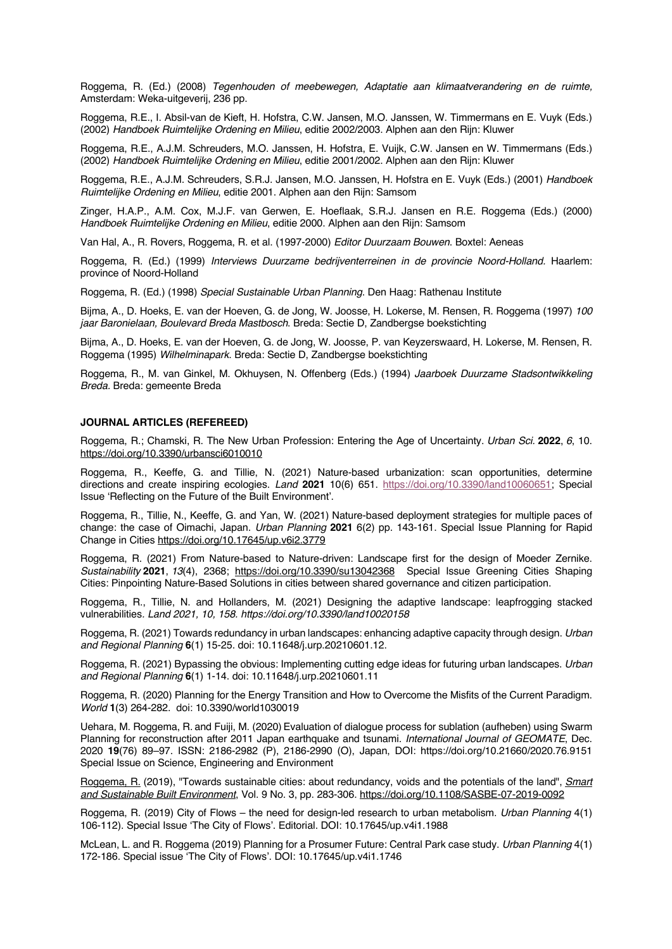Roggema, R. (Ed.) (2008) *Tegenhouden of meebewegen, Adaptatie aan klimaatverandering en de ruimte,* Amsterdam: Weka-uitgeverij, 236 pp.

Roggema, R.E., I. Absil-van de Kieft, H. Hofstra, C.W. Jansen, M.O. Janssen, W. Timmermans en E. Vuyk (Eds.) (2002) *Handboek Ruimtelijke Ordening en Milieu*, editie 2002/2003. Alphen aan den Rijn: Kluwer

Roggema, R.E., A.J.M. Schreuders, M.O. Janssen, H. Hofstra, E. Vuijk, C.W. Jansen en W. Timmermans (Eds.) (2002) *Handboek Ruimtelijke Ordening en Milieu*, editie 2001/2002. Alphen aan den Rijn: Kluwer

Roggema, R.E., A.J.M. Schreuders, S.R.J. Jansen, M.O. Janssen, H. Hofstra en E. Vuyk (Eds.) (2001) *Handboek Ruimtelijke Ordening en Milieu*, editie 2001. Alphen aan den Rijn: Samsom

Zinger, H.A.P., A.M. Cox, M.J.F. van Gerwen, E. Hoeflaak, S.R.J. Jansen en R.E. Roggema (Eds.) (2000) *Handboek Ruimtelijke Ordening en Milieu*, editie 2000. Alphen aan den Rijn: Samsom

Van Hal, A., R. Rovers, Roggema, R. et al. (1997-2000) *Editor Duurzaam Bouwen*. Boxtel: Aeneas

Roggema, R. (Ed.) (1999) *Interviews Duurzame bedrijventerreinen in de provincie Noord-Holland.* Haarlem: province of Noord-Holland

Roggema, R. (Ed.) (1998) *Special Sustainable Urban Planning*. Den Haag: Rathenau Institute

Bijma, A., D. Hoeks, E. van der Hoeven, G. de Jong, W. Joosse, H. Lokerse, M. Rensen, R. Roggema (1997) *100 jaar Baronielaan, Boulevard Breda Mastbosch*. Breda: Sectie D, Zandbergse boekstichting

Bijma, A., D. Hoeks, E. van der Hoeven, G. de Jong, W. Joosse, P. van Keyzerswaard, H. Lokerse, M. Rensen, R. Roggema (1995) *Wilhelminapark*. Breda: Sectie D, Zandbergse boekstichting

Roggema, R., M. van Ginkel, M. Okhuysen, N. Offenberg (Eds.) (1994) *Jaarboek Duurzame Stadsontwikkeling Breda.* Breda: gemeente Breda

#### **JOURNAL ARTICLES (REFEREED)**

Roggema, R.; Chamski, R. The New Urban Profession: Entering the Age of Uncertainty. *Urban Sci.* **2022**, *6*, 10. https://doi.org/10.3390/urbansci6010010

Roggema, R., Keeffe, G. and Tillie, N. (2021) Nature-based urbanization: scan opportunities, determine directions and create inspiring ecologies. *Land* **2021** 10(6) 651. https://doi.org/10.3390/land10060651; Special Issue 'Reflecting on the Future of the Built Environment'.

Roggema, R., Tillie, N., Keeffe, G. and Yan, W. (2021) Nature-based deployment strategies for multiple paces of change: the case of Oimachi, Japan. *Urban Planning* **2021** 6(2) pp. 143-161. Special Issue Planning for Rapid Change in Cities https://doi.org/10.17645/up.v6i2.3779

Roggema, R. (2021) From Nature-based to Nature-driven: Landscape first for the design of Moeder Zernike. *Sustainability* **2021**, *13*(4), 2368; https://doi.org/10.3390/su13042368 Special Issue Greening Cities Shaping Cities: Pinpointing Nature-Based Solutions in cities between shared governance and citizen participation.

Roggema, R., Tillie, N. and Hollanders, M. (2021) Designing the adaptive landscape: leapfrogging stacked vulnerabilities*. Land 2021, 10, 158. https://doi.org/10.3390/land10020158*

Roggema, R. (2021) Towards redundancy in urban landscapes: enhancing adaptive capacity through design. *Urban and Regional Planning* **6**(1) 15-25. doi: 10.11648/j.urp.20210601.12.

Roggema, R. (2021) Bypassing the obvious: Implementing cutting edge ideas for futuring urban landscapes. *Urban and Regional Planning* **6**(1) 1-14. doi: 10.11648/j.urp.20210601.11

Roggema, R. (2020) Planning for the Energy Transition and How to Overcome the Misfits of the Current Paradigm. *World* **1**(3) 264-282. doi: 10.3390/world1030019

Uehara, M. Roggema, R. and Fuiji, M. (2020) Evaluation of dialogue process for sublation (aufheben) using Swarm Planning for reconstruction after 2011 Japan earthquake and tsunami. *International Journal of GEOMATE*, Dec. 2020 **19**(76) 89–97. ISSN: 2186-2982 (P), 2186-2990 (O), Japan, DOI: https://doi.org/10.21660/2020.76.9151 Special Issue on Science, Engineering and Environment

Roggema, R. (2019), "Towards sustainable cities: about redundancy, voids and the potentials of the land", *Smart and Sustainable Built Environment*, Vol. 9 No. 3, pp. 283-306. https://doi.org/10.1108/SASBE-07-2019-0092

Roggema, R. (2019) City of Flows – the need for design-led research to urban metabolism. *Urban Planning* 4(1) 106-112). Special Issue 'The City of Flows'. Editorial. DOI: 10.17645/up.v4i1.1988

McLean, L. and R. Roggema (2019) Planning for a Prosumer Future: Central Park case study. *Urban Planning* 4(1) 172-186. Special issue 'The City of Flows'. DOI: 10.17645/up.v4i1.1746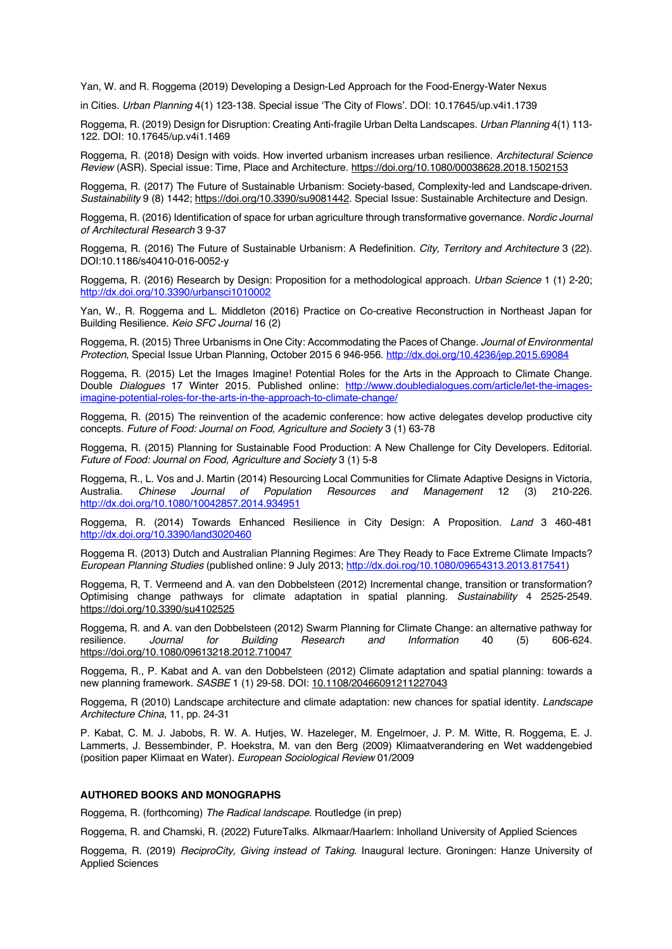Yan, W. and R. Roggema (2019) Developing a Design-Led Approach for the Food-Energy-Water Nexus

in Cities. *Urban Planning* 4(1) 123-138. Special issue 'The City of Flows'. DOI: 10.17645/up.v4i1.1739

Roggema, R. (2019) Design for Disruption: Creating Anti-fragile Urban Delta Landscapes. *Urban Planning* 4(1) 113- 122. DOI: 10.17645/up.v4i1.1469

Roggema, R. (2018) Design with voids. How inverted urbanism increases urban resilience. *Architectural Science Review* (ASR). Special issue: Time, Place and Architecture. https://doi.org/10.1080/00038628.2018.1502153

Roggema, R. (2017) The Future of Sustainable Urbanism: Society-based, Complexity-led and Landscape-driven. *Sustainability* 9 (8) 1442; https://doi.org/10.3390/su9081442. Special Issue: Sustainable Architecture and Design.

Roggema, R. (2016) Identification of space for urban agriculture through transformative governance. *Nordic Journal of Architectural Research* 3 9-37

Roggema, R. (2016) The Future of Sustainable Urbanism: A Redefinition. *City, Territory and Architecture* 3 (22). DOI:10.1186/s40410-016-0052-y

Roggema, R. (2016) Research by Design: Proposition for a methodological approach. *Urban Science* 1 (1) 2-20; http://dx.doi.org/10.3390/urbansci1010002

Yan, W., R. Roggema and L. Middleton (2016) Practice on Co-creative Reconstruction in Northeast Japan for Building Resilience. *Keio SFC Journal* 16 (2)

Roggema, R. (2015) Three Urbanisms in One City: Accommodating the Paces of Change. *Journal of Environmental Protection*, Special Issue Urban Planning, October 2015 6 946-956. http://dx.doi.org/10.4236/jep.2015.69084

Roggema, R. (2015) Let the Images Imagine! Potential Roles for the Arts in the Approach to Climate Change. Double *Dialogues* 17 Winter 2015. Published online: http://www.doubledialogues.com/article/let-the-imagesimagine-potential-roles-for-the-arts-in-the-approach-to-climate-change/

Roggema, R. (2015) The reinvention of the academic conference: how active delegates develop productive city concepts. *Future of Food: Journal on Food, Agriculture and Society* 3 (1) 63-78

Roggema, R. (2015) Planning for Sustainable Food Production: A New Challenge for City Developers. Editorial. *Future of Food: Journal on Food, Agriculture and Society* 3 (1) 5-8

Roggema, R., L. Vos and J. Martin (2014) Resourcing Local Communities for Climate Adaptive Designs in Victoria, Australia. *Chinese Journal of Population Resources and Management* 12 (3) 210-226. http://dx.doi.org/10.1080/10042857.2014.934951

Roggema, R. (2014) Towards Enhanced Resilience in City Design: A Proposition. *Land* 3 460-481 http://dx.doi.org/10.3390/land3020460

Roggema R. (2013) Dutch and Australian Planning Regimes: Are They Ready to Face Extreme Climate Impacts? *European Planning Studies* (published online: 9 July 2013; http://dx.doi.rog/10.1080/09654313.2013.817541)

Roggema, R, T. Vermeend and A. van den Dobbelsteen (2012) Incremental change, transition or transformation? Optimising change pathways for climate adaptation in spatial planning. *Sustainability* 4 2525-2549. https://doi.org/10.3390/su4102525

Roggema, R. and A. van den Dobbelsteen (2012) Swarm Planning for Climate Change: an alternative pathway for<br>
resilience. *Journal* for Building Research and Information 40 (5) 606-624. resilience. *Journal for Building Research and Information* 40 (5) 606-624. https://doi.org/10.1080/09613218.2012.710047

Roggema, R., P. Kabat and A. van den Dobbelsteen (2012) Climate adaptation and spatial planning: towards a new planning framework. *SASBE* 1 (1) 29-58. DOI: 10.1108/20466091211227043

Roggema, R (2010) Landscape architecture and climate adaptation: new chances for spatial identity. *Landscape Architecture China*, 11, pp. 24-31

P. Kabat, C. M. J. Jabobs, R. W. A. Hutjes, W. Hazeleger, M. Engelmoer, J. P. M. Witte, R. Roggema, E. J. Lammerts, J. Bessembinder, P. Hoekstra, M. van den Berg (2009) Klimaatverandering en Wet waddengebied (position paper Klimaat en Water). *European Sociological Review* 01/2009

# **AUTHORED BOOKS AND MONOGRAPHS**

Roggema, R. (forthcoming) *The Radical landscape*. Routledge (in prep)

Roggema, R. and Chamski, R. (2022) FutureTalks. Alkmaar/Haarlem: Inholland University of Applied Sciences

Roggema, R. (2019) *ReciproCity, Giving instead of Taking*. Inaugural lecture. Groningen: Hanze University of Applied Sciences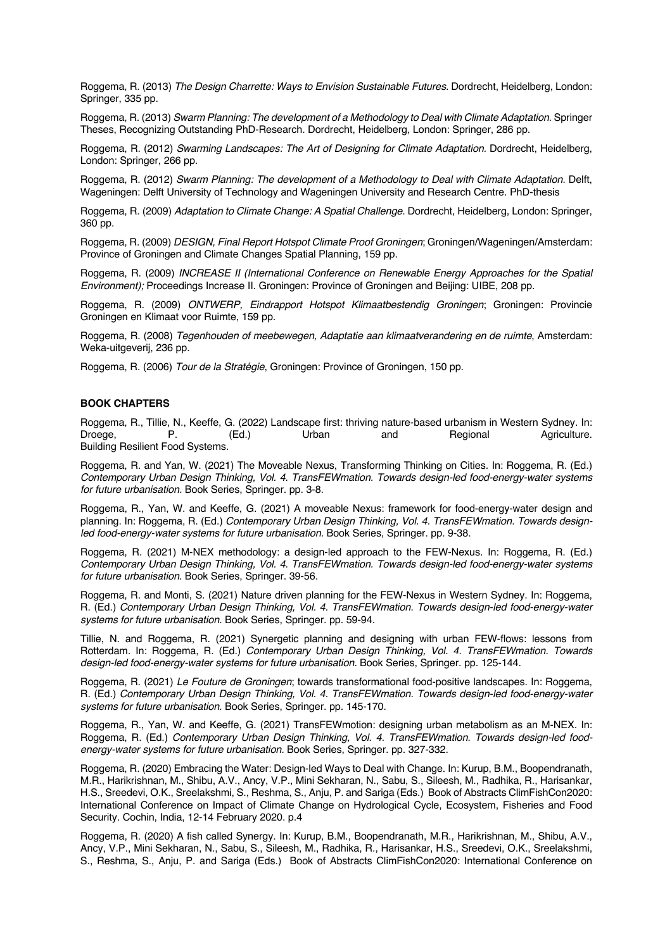Roggema, R. (2013) *The Design Charrette: Ways to Envision Sustainable Futures*. Dordrecht, Heidelberg, London: Springer, 335 pp.

Roggema, R. (2013) *Swarm Planning: The development of a Methodology to Deal with Climate Adaptation.* Springer Theses, Recognizing Outstanding PhD-Research. Dordrecht, Heidelberg, London: Springer, 286 pp.

Roggema, R. (2012) *Swarming Landscapes: The Art of Designing for Climate Adaptation.* Dordrecht, Heidelberg, London: Springer, 266 pp.

Roggema, R. (2012) *Swarm Planning: The development of a Methodology to Deal with Climate Adaptation.* Delft, Wageningen: Delft University of Technology and Wageningen University and Research Centre. PhD-thesis

Roggema, R. (2009) *Adaptation to Climate Change: A Spatial Challenge*. Dordrecht, Heidelberg, London: Springer, 360 pp.

Roggema, R. (2009) *DESIGN, Final Report Hotspot Climate Proof Groningen*; Groningen/Wageningen/Amsterdam: Province of Groningen and Climate Changes Spatial Planning, 159 pp.

Roggema, R. (2009) *INCREASE II (International Conference on Renewable Energy Approaches for the Spatial Environment);* Proceedings Increase II. Groningen: Province of Groningen and Beijing: UIBE, 208 pp.

Roggema, R. (2009) *ONTWERP, Eindrapport Hotspot Klimaatbestendig Groningen*; Groningen: Provincie Groningen en Klimaat voor Ruimte, 159 pp.

Roggema, R. (2008) *Tegenhouden of meebewegen, Adaptatie aan klimaatverandering en de ruimte*, Amsterdam: Weka-uitgeverij, 236 pp.

Roggema, R. (2006) *Tour de la Stratégie*, Groningen: Province of Groningen, 150 pp.

# **BOOK CHAPTERS**

Roggema, R., Tillie, N., Keeffe, G. (2022) Landscape first: thriving nature-based urbanism in Western Sydney. In: Droege, P. (Ed.) Urban and Regional Agriculture. Building Resilient Food Systems.

Roggema, R. and Yan, W. (2021) The Moveable Nexus, Transforming Thinking on Cities. In: Roggema, R. (Ed.) *Contemporary Urban Design Thinking, Vol. 4. TransFEWmation. Towards design-led food-energy-water systems for future urbanisation.* Book Series, Springer. pp. 3-8.

Roggema, R., Yan, W. and Keeffe, G. (2021) A moveable Nexus: framework for food-energy-water design and planning. In: Roggema, R. (Ed.) *Contemporary Urban Design Thinking, Vol. 4. TransFEWmation. Towards design*led food-energy-water systems for future urbanisation. Book Series, Springer. pp. 9-38.

Roggema, R. (2021) M-NEX methodology: a design-led approach to the FEW-Nexus. In: Roggema, R. (Ed.) *Contemporary Urban Design Thinking, Vol. 4. TransFEWmation. Towards design-led food-energy-water systems for future urbanisation.* Book Series, Springer. 39-56.

Roggema, R. and Monti, S. (2021) Nature driven planning for the FEW-Nexus in Western Sydney. In: Roggema, R. (Ed.) *Contemporary Urban Design Thinking, Vol. 4. TransFEWmation. Towards design-led food-energy-water systems for future urbanisation.* Book Series, Springer. pp. 59-94.

Tillie, N. and Roggema, R. (2021) Synergetic planning and designing with urban FEW-flows: lessons from Rotterdam. In: Roggema, R. (Ed.) *Contemporary Urban Design Thinking, Vol. 4. TransFEWmation. Towards design-led food-energy-water systems for future urbanisation.* Book Series, Springer. pp. 125-144.

Roggema, R. (2021) *Le Fouture de Groningen*; towards transformational food-positive landscapes. In: Roggema, R. (Ed.) *Contemporary Urban Design Thinking, Vol. 4. TransFEWmation. Towards design-led food-energy-water systems for future urbanisation.* Book Series, Springer. pp. 145-170.

Roggema, R., Yan, W. and Keeffe, G. (2021) TransFEWmotion: designing urban metabolism as an M-NEX. In: Roggema, R. (Ed.) *Contemporary Urban Design Thinking, Vol. 4. TransFEWmation. Towards design-led foodenergy-water systems for future urbanisation.* Book Series, Springer. pp. 327-332.

Roggema, R. (2020) Embracing the Water: Design-led Ways to Deal with Change. In: Kurup, B.M., Boopendranath, M.R., Harikrishnan, M., Shibu, A.V., Ancy, V.P., Mini Sekharan, N., Sabu, S., Sileesh, M., Radhika, R., Harisankar, H.S., Sreedevi, O.K., Sreelakshmi, S., Reshma, S., Anju, P. and Sariga (Eds.) Book of Abstracts ClimFishCon2020: International Conference on Impact of Climate Change on Hydrological Cycle, Ecosystem, Fisheries and Food Security. Cochin, India, 12-14 February 2020. p.4

Roggema, R. (2020) A fish called Synergy. In: Kurup, B.M., Boopendranath, M.R., Harikrishnan, M., Shibu, A.V., Ancy, V.P., Mini Sekharan, N., Sabu, S., Sileesh, M., Radhika, R., Harisankar, H.S., Sreedevi, O.K., Sreelakshmi, S., Reshma, S., Anju, P. and Sariga (Eds.) Book of Abstracts ClimFishCon2020: International Conference on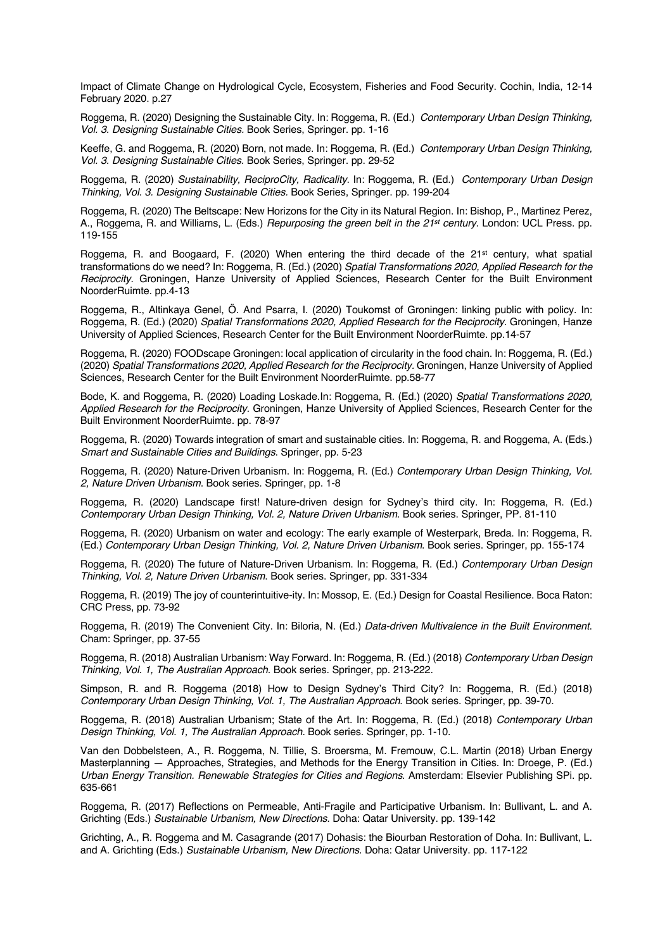Impact of Climate Change on Hydrological Cycle, Ecosystem, Fisheries and Food Security. Cochin, India, 12-14 February 2020. p.27

Roggema, R. (2020) Designing the Sustainable City. In: Roggema, R. (Ed.) *Contemporary Urban Design Thinking, Vol. 3. Designing Sustainable Cities.* Book Series, Springer. pp. 1-16

Keeffe, G. and Roggema, R. (2020) Born, not made. In: Roggema, R. (Ed.) *Contemporary Urban Design Thinking, Vol. 3. Designing Sustainable Cities.* Book Series, Springer. pp. 29-52

Roggema, R. (2020) *Sustainability, ReciproCity, Radicality*. In: Roggema, R. (Ed.) *Contemporary Urban Design Thinking, Vol. 3. Designing Sustainable Cities.* Book Series, Springer. pp. 199-204

Roggema, R. (2020) The Beltscape: New Horizons for the City in its Natural Region. In: Bishop, P., Martinez Perez, A., Roggema, R. and Williams, L. (Eds.) *Repurposing the green belt in the 21st century*. London: UCL Press. pp. 119-155

Roggema, R. and Boogaard, F. (2020) When entering the third decade of the 21st century, what spatial transformations do we need? In: Roggema, R. (Ed.) (2020) *Spatial Transformations 2020, Applied Research for the Reciprocity.* Groningen, Hanze University of Applied Sciences, Research Center for the Built Environment NoorderRuimte. pp.4-13

Roggema, R., Altinkaya Genel, Ö. And Psarra, I. (2020) Toukomst of Groningen: linking public with policy. In: Roggema, R. (Ed.) (2020) *Spatial Transformations 2020, Applied Research for the Reciprocity.* Groningen, Hanze University of Applied Sciences, Research Center for the Built Environment NoorderRuimte. pp.14-57

Roggema, R. (2020) FOODscape Groningen: local application of circularity in the food chain. In: Roggema, R. (Ed.) (2020) *Spatial Transformations 2020, Applied Research for the Reciprocity.* Groningen, Hanze University of Applied Sciences, Research Center for the Built Environment NoorderRuimte. pp.58-77

Bode, K. and Roggema, R. (2020) Loading Loskade.In: Roggema, R. (Ed.) (2020) *Spatial Transformations 2020, Applied Research for the Reciprocity.* Groningen, Hanze University of Applied Sciences, Research Center for the Built Environment NoorderRuimte. pp. 78-97

Roggema, R. (2020) Towards integration of smart and sustainable cities. In: Roggema, R. and Roggema, A. (Eds.) *Smart and Sustainable Cities and Buildings*. Springer, pp. 5-23

Roggema, R. (2020) Nature-Driven Urbanism. In: Roggema, R. (Ed.) *Contemporary Urban Design Thinking, Vol. 2, Nature Driven Urbanism*. Book series. Springer, pp. 1-8

Roggema, R. (2020) Landscape first! Nature-driven design for Sydney's third city. In: Roggema, R. (Ed.) *Contemporary Urban Design Thinking, Vol. 2, Nature Driven Urbanism*. Book series. Springer, PP. 81-110

Roggema, R. (2020) Urbanism on water and ecology: The early example of Westerpark, Breda. In: Roggema, R. (Ed.) *Contemporary Urban Design Thinking, Vol. 2, Nature Driven Urbanism*. Book series. Springer, pp. 155-174

Roggema, R. (2020) The future of Nature-Driven Urbanism. In: Roggema, R. (Ed.) *Contemporary Urban Design Thinking, Vol. 2, Nature Driven Urbanism*. Book series. Springer, pp. 331-334

Roggema, R. (2019) The joy of counterintuitive-ity. In: Mossop, E. (Ed.) Design for Coastal Resilience. Boca Raton: CRC Press, pp. 73-92

Roggema, R. (2019) The Convenient City. In: Biloria, N. (Ed.) *Data-driven Multivalence in the Built Environment*. Cham: Springer, pp. 37-55

Roggema, R. (2018) Australian Urbanism: Way Forward. In: Roggema, R. (Ed.) (2018) *Contemporary Urban Design Thinking, Vol. 1, The Australian Approach*. Book series. Springer, pp. 213-222.

Simpson, R. and R. Roggema (2018) How to Design Sydney's Third City? In: Roggema, R. (Ed.) (2018) *Contemporary Urban Design Thinking, Vol. 1, The Australian Approach*. Book series. Springer, pp. 39-70.

Roggema, R. (2018) Australian Urbanism; State of the Art. In: Roggema, R. (Ed.) (2018) *Contemporary Urban Design Thinking, Vol. 1, The Australian Approach.* Book series. Springer, pp. 1-10.

Van den Dobbelsteen, A., R. Roggema, N. Tillie, S. Broersma, M. Fremouw, C.L. Martin (2018) Urban Energy Masterplanning — Approaches, Strategies, and Methods for the Energy Transition in Cities. In: Droege, P. (Ed.) *Urban Energy Transition. Renewable Strategies for Cities and Regions*. Amsterdam: Elsevier Publishing SPi. pp. 635-661

Roggema, R. (2017) Reflections on Permeable, Anti-Fragile and Participative Urbanism. In: Bullivant, L. and A. Grichting (Eds.) *Sustainable Urbanism, New Directions.* Doha: Qatar University. pp. 139-142

Grichting, A., R. Roggema and M. Casagrande (2017) Dohasis: the Biourban Restoration of Doha. In: Bullivant, L. and A. Grichting (Eds.) *Sustainable Urbanism, New Directions*. Doha: Qatar University. pp. 117-122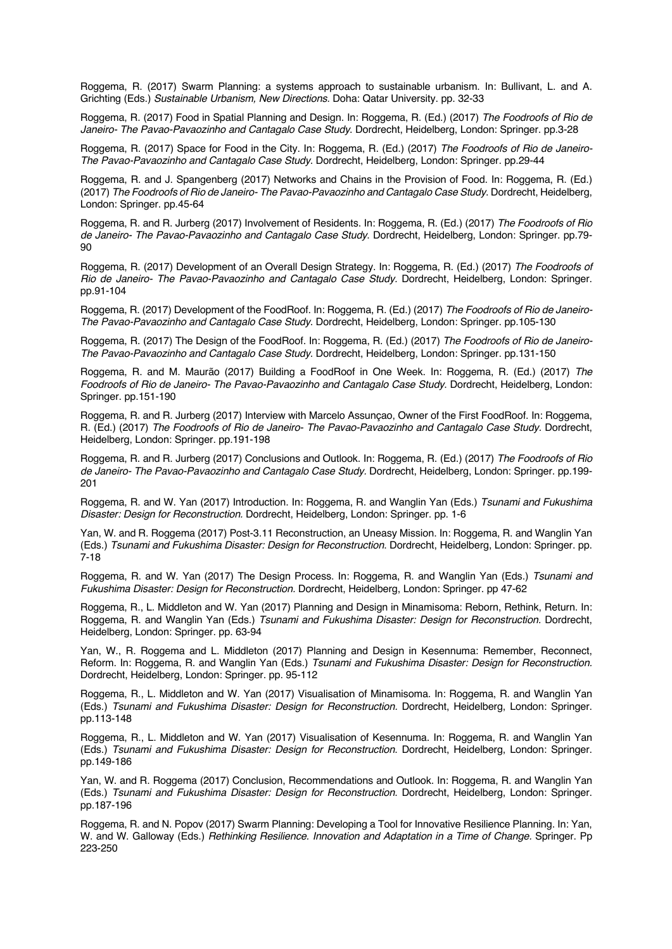Roggema, R. (2017) Swarm Planning: a systems approach to sustainable urbanism. In: Bullivant, L. and A. Grichting (Eds.) *Sustainable Urbanism, New Directions.* Doha: Qatar University. pp. 32-33

Roggema, R. (2017) Food in Spatial Planning and Design. In: Roggema, R. (Ed.) (2017) *The Foodroofs of Rio de Janeiro- The Pavao-Pavaozinho and Cantagalo Case Study*. Dordrecht, Heidelberg, London: Springer. pp.3-28

Roggema, R. (2017) Space for Food in the City. In: Roggema, R. (Ed.) (2017) *The Foodroofs of Rio de Janeiro-The Pavao-Pavaozinho and Cantagalo Case Study*. Dordrecht, Heidelberg, London: Springer. pp.29-44

Roggema, R. and J. Spangenberg (2017) Networks and Chains in the Provision of Food. In: Roggema, R. (Ed.) (2017) *The Foodroofs of Rio de Janeiro- The Pavao-Pavaozinho and Cantagalo Case Study*. Dordrecht, Heidelberg, London: Springer. pp.45-64

Roggema, R. and R. Jurberg (2017) Involvement of Residents. In: Roggema, R. (Ed.) (2017) *The Foodroofs of Rio de Janeiro- The Pavao-Pavaozinho and Cantagalo Case Study*. Dordrecht, Heidelberg, London: Springer. pp.79- 90

Roggema, R. (2017) Development of an Overall Design Strategy. In: Roggema, R. (Ed.) (2017) *The Foodroofs of Rio de Janeiro- The Pavao-Pavaozinho and Cantagalo Case Study.* Dordrecht, Heidelberg, London: Springer. pp.91-104

Roggema, R. (2017) Development of the FoodRoof. In: Roggema, R. (Ed.) (2017) *The Foodroofs of Rio de Janeiro-The Pavao-Pavaozinho and Cantagalo Case Study*. Dordrecht, Heidelberg, London: Springer. pp.105-130

Roggema, R. (2017) The Design of the FoodRoof. In: Roggema, R. (Ed.) (2017) *The Foodroofs of Rio de Janeiro-The Pavao-Pavaozinho and Cantagalo Case Study*. Dordrecht, Heidelberg, London: Springer. pp.131-150

Roggema, R. and M. Maurão (2017) Building a FoodRoof in One Week. In: Roggema, R. (Ed.) (2017) *The Foodroofs of Rio de Janeiro- The Pavao-Pavaozinho and Cantagalo Case Study*. Dordrecht, Heidelberg, London: Springer. pp.151-190

Roggema, R. and R. Jurberg (2017) Interview with Marcelo Assunçao, Owner of the First FoodRoof. In: Roggema, R. (Ed.) (2017) *The Foodroofs of Rio de Janeiro- The Pavao-Pavaozinho and Cantagalo Case Study.* Dordrecht, Heidelberg, London: Springer. pp.191-198

Roggema, R. and R. Jurberg (2017) Conclusions and Outlook. In: Roggema, R. (Ed.) (2017) *The Foodroofs of Rio de Janeiro- The Pavao-Pavaozinho and Cantagalo Case Study.* Dordrecht, Heidelberg, London: Springer. pp.199- 201

Roggema, R. and W. Yan (2017) Introduction. In: Roggema, R. and Wanglin Yan (Eds.) *Tsunami and Fukushima Disaster: Design for Reconstruction.* Dordrecht, Heidelberg, London: Springer. pp. 1-6

Yan, W. and R. Roggema (2017) Post-3.11 Reconstruction, an Uneasy Mission. In: Roggema, R. and Wanglin Yan (Eds.) *Tsunami and Fukushima Disaster: Design for Reconstruction*. Dordrecht, Heidelberg, London: Springer. pp. 7-18

Roggema, R. and W. Yan (2017) The Design Process. In: Roggema, R. and Wanglin Yan (Eds.) *Tsunami and Fukushima Disaster: Design for Reconstruction.* Dordrecht, Heidelberg, London: Springer. pp 47-62

Roggema, R., L. Middleton and W. Yan (2017) Planning and Design in Minamisoma: Reborn, Rethink, Return. In: Roggema, R. and Wanglin Yan (Eds.) *Tsunami and Fukushima Disaster: Design for Reconstruction.* Dordrecht, Heidelberg, London: Springer. pp. 63-94

Yan, W., R. Roggema and L. Middleton (2017) Planning and Design in Kesennuma: Remember, Reconnect, Reform. In: Roggema, R. and Wanglin Yan (Eds.) *Tsunami and Fukushima Disaster: Design for Reconstruction.* Dordrecht, Heidelberg, London: Springer. pp. 95-112

Roggema, R., L. Middleton and W. Yan (2017) Visualisation of Minamisoma. In: Roggema, R. and Wanglin Yan (Eds.) *Tsunami and Fukushima Disaster: Design for Reconstruction.* Dordrecht, Heidelberg, London: Springer. pp.113-148

Roggema, R., L. Middleton and W. Yan (2017) Visualisation of Kesennuma. In: Roggema, R. and Wanglin Yan (Eds.) *Tsunami and Fukushima Disaster: Design for Reconstruction*. Dordrecht, Heidelberg, London: Springer. pp.149-186

Yan, W. and R. Roggema (2017) Conclusion, Recommendations and Outlook. In: Roggema, R. and Wanglin Yan (Eds.) *Tsunami and Fukushima Disaster: Design for Reconstruction*. Dordrecht, Heidelberg, London: Springer. pp.187-196

Roggema, R. and N. Popov (2017) Swarm Planning: Developing a Tool for Innovative Resilience Planning. In: Yan, W. and W. Galloway (Eds.) *Rethinking Resilience. Innovation and Adaptation in a Time of Change.* Springer. Pp 223-250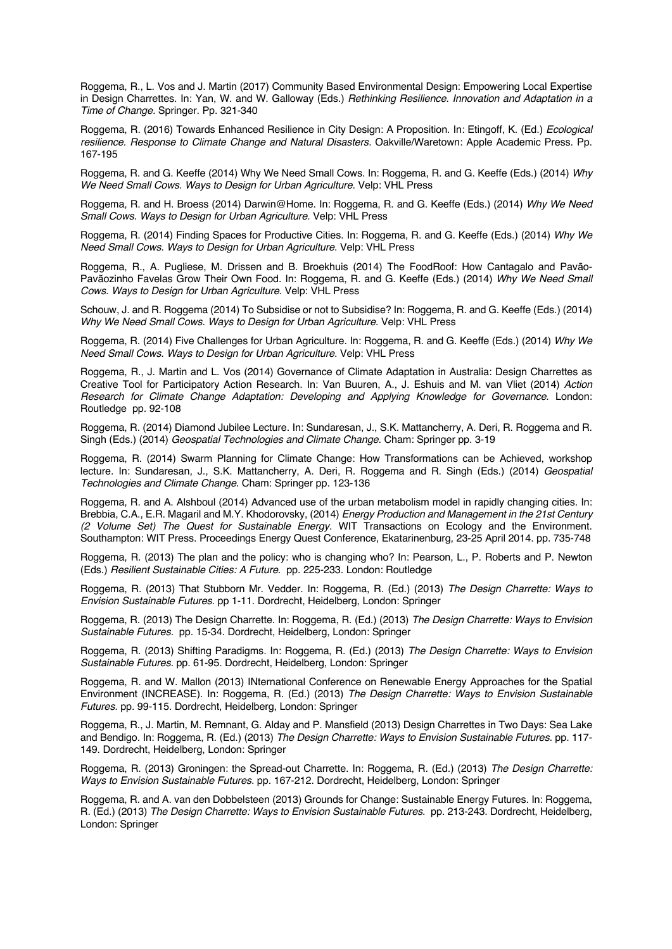Roggema, R., L. Vos and J. Martin (2017) Community Based Environmental Design: Empowering Local Expertise in Design Charrettes. In: Yan, W. and W. Galloway (Eds.) *Rethinking Resilience. Innovation and Adaptation in a Time of Change.* Springer. Pp. 321-340

Roggema, R. (2016) Towards Enhanced Resilience in City Design: A Proposition. In: Etingoff, K. (Ed.) *Ecological resilience. Response to Climate Change and Natural Disasters.* Oakville/Waretown: Apple Academic Press. Pp. 167-195

Roggema, R. and G. Keeffe (2014) Why We Need Small Cows. In: Roggema, R. and G. Keeffe (Eds.) (2014) *Why We Need Small Cows. Ways to Design for Urban Agriculture*. Velp: VHL Press

Roggema, R. and H. Broess (2014) Darwin@Home. In: Roggema, R. and G. Keeffe (Eds.) (2014) *Why We Need Small Cows. Ways to Design for Urban Agriculture.* Velp: VHL Press

Roggema, R. (2014) Finding Spaces for Productive Cities. In: Roggema, R. and G. Keeffe (Eds.) (2014) *Why We Need Small Cows. Ways to Design for Urban Agriculture*. Velp: VHL Press

Roggema, R., A. Pugliese, M. Drissen and B. Broekhuis (2014) The FoodRoof: How Cantagalo and Pavão-Pavãozinho Favelas Grow Their Own Food. In: Roggema, R. and G. Keeffe (Eds.) (2014) *Why We Need Small Cows. Ways to Design for Urban Agriculture*. Velp: VHL Press

Schouw, J. and R. Roggema (2014) To Subsidise or not to Subsidise? In: Roggema, R. and G. Keeffe (Eds.) (2014) *Why We Need Small Cows. Ways to Design for Urban Agriculture*. Velp: VHL Press

Roggema, R. (2014) Five Challenges for Urban Agriculture. In: Roggema, R. and G. Keeffe (Eds.) (2014) *Why We Need Small Cows. Ways to Design for Urban Agriculture*. Velp: VHL Press

Roggema, R., J. Martin and L. Vos (2014) Governance of Climate Adaptation in Australia: Design Charrettes as Creative Tool for Participatory Action Research. In: Van Buuren, A., J. Eshuis and M. van Vliet (2014) *Action Research for Climate Change Adaptation: Developing and Applying Knowledge for Governance*. London: Routledge pp. 92-108

Roggema, R. (2014) Diamond Jubilee Lecture. In: Sundaresan, J., S.K. Mattancherry, A. Deri, R. Roggema and R. Singh (Eds.) (2014) *Geospatial Technologies and Climate Change*. Cham: Springer pp. 3-19

Roggema, R. (2014) Swarm Planning for Climate Change: How Transformations can be Achieved, workshop lecture. In: Sundaresan, J., S.K. Mattancherry, A. Deri, R. Roggema and R. Singh (Eds.) (2014) *Geospatial Technologies and Climate Change*. Cham: Springer pp. 123-136

Roggema, R. and A. Alshboul (2014) Advanced use of the urban metabolism model in rapidly changing cities. In: Brebbia, C.A., E.R. Magaril and M.Y. Khodorovsky, (2014) *Energy Production and Management in the 21st Century (2 Volume Set) The Quest for Sustainable Energy.* WIT Transactions on Ecology and the Environment. Southampton: WIT Press. Proceedings Energy Quest Conference, Ekatarinenburg, 23-25 April 2014. pp. 735-748

Roggema, R. (2013) The plan and the policy: who is changing who? In: Pearson, L., P. Roberts and P. Newton (Eds.) *Resilient Sustainable Cities: A Future*. pp. 225-233. London: Routledge

Roggema, R. (2013) That Stubborn Mr. Vedder. In: Roggema, R. (Ed.) (2013) *The Design Charrette: Ways to Envision Sustainable Futures*. pp 1-11. Dordrecht, Heidelberg, London: Springer

Roggema, R. (2013) The Design Charrette. In: Roggema, R. (Ed.) (2013) *The Design Charrette: Ways to Envision Sustainable Futures.* pp. 15-34. Dordrecht, Heidelberg, London: Springer

Roggema, R. (2013) Shifting Paradigms. In: Roggema, R. (Ed.) (2013) *The Design Charrette: Ways to Envision Sustainable Futures.* pp. 61-95. Dordrecht, Heidelberg, London: Springer

Roggema, R. and W. Mallon (2013) INternational Conference on Renewable Energy Approaches for the Spatial Environment (INCREASE). In: Roggema, R. (Ed.) (2013) *The Design Charrette: Ways to Envision Sustainable Futures.* pp. 99-115. Dordrecht, Heidelberg, London: Springer

Roggema, R., J. Martin, M. Remnant, G. Alday and P. Mansfield (2013) Design Charrettes in Two Days: Sea Lake and Bendigo. In: Roggema, R. (Ed.) (2013) *The Design Charrette: Ways to Envision Sustainable Futures.* pp. 117- 149. Dordrecht, Heidelberg, London: Springer

Roggema, R. (2013) Groningen: the Spread-out Charrette. In: Roggema, R. (Ed.) (2013) *The Design Charrette: Ways to Envision Sustainable Futures*. pp. 167-212. Dordrecht, Heidelberg, London: Springer

Roggema, R. and A. van den Dobbelsteen (2013) Grounds for Change: Sustainable Energy Futures. In: Roggema, R. (Ed.) (2013) *The Design Charrette: Ways to Envision Sustainable Futures*. pp. 213-243. Dordrecht, Heidelberg, London: Springer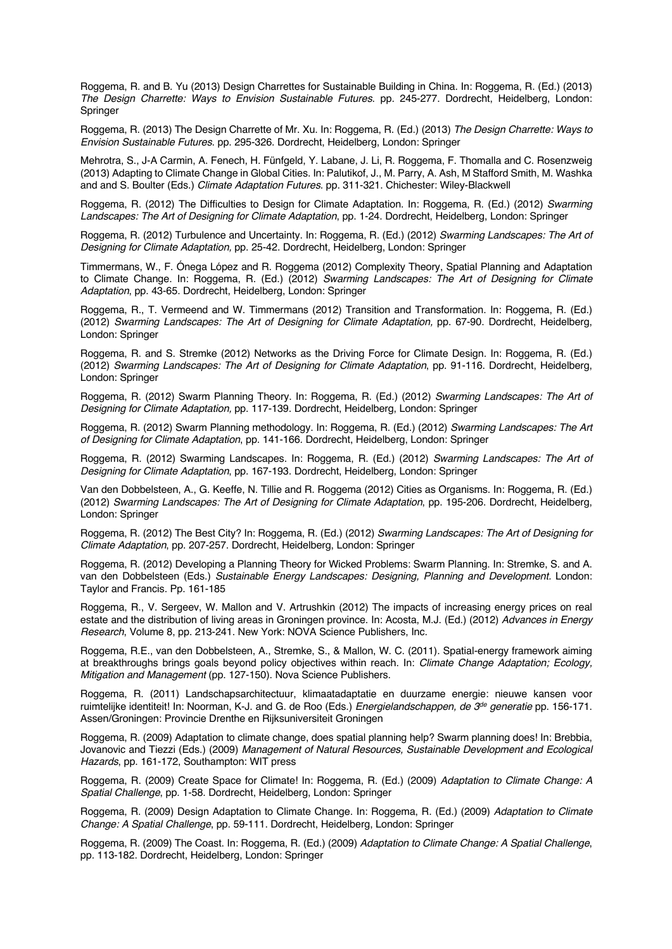Roggema, R. and B. Yu (2013) Design Charrettes for Sustainable Building in China. In: Roggema, R. (Ed.) (2013) *The Design Charrette: Ways to Envision Sustainable Futures*. pp. 245-277. Dordrecht, Heidelberg, London: Springer

Roggema, R. (2013) The Design Charrette of Mr. Xu. In: Roggema, R. (Ed.) (2013) *The Design Charrette: Ways to Envision Sustainable Futures*. pp. 295-326. Dordrecht, Heidelberg, London: Springer

Mehrotra, S., J-A Carmin, A. Fenech, H. Fünfgeld, Y. Labane, J. Li, R. Roggema, F. Thomalla and C. Rosenzweig (2013) Adapting to Climate Change in Global Cities. In: Palutikof, J., M. Parry, A. Ash, M Stafford Smith, M. Washka and and S. Boulter (Eds.) *Climate Adaptation Futures*. pp. 311-321. Chichester: Wiley-Blackwell

Roggema, R. (2012) The Difficulties to Design for Climate Adaptation. In: Roggema, R. (Ed.) (2012) *Swarming Landscapes: The Art of Designing for Climate Adaptation*, pp. 1-24. Dordrecht, Heidelberg, London: Springer

Roggema, R. (2012) Turbulence and Uncertainty. In: Roggema, R. (Ed.) (2012) *Swarming Landscapes: The Art of Designing for Climate Adaptation,* pp. 25-42. Dordrecht, Heidelberg, London: Springer

Timmermans, W., F. Ónega López and R. Roggema (2012) Complexity Theory, Spatial Planning and Adaptation to Climate Change. In: Roggema, R. (Ed.) (2012) *Swarming Landscapes: The Art of Designing for Climate Adaptation*, pp. 43-65. Dordrecht, Heidelberg, London: Springer

Roggema, R., T. Vermeend and W. Timmermans (2012) Transition and Transformation. In: Roggema, R. (Ed.) (2012) *Swarming Landscapes: The Art of Designing for Climate Adaptation,* pp. 67-90. Dordrecht, Heidelberg, London: Springer

Roggema, R. and S. Stremke (2012) Networks as the Driving Force for Climate Design. In: Roggema, R. (Ed.) (2012) *Swarming Landscapes: The Art of Designing for Climate Adaptation*, pp. 91-116. Dordrecht, Heidelberg, London: Springer

Roggema, R. (2012) Swarm Planning Theory. In: Roggema, R. (Ed.) (2012) *Swarming Landscapes: The Art of Designing for Climate Adaptation,* pp. 117-139. Dordrecht, Heidelberg, London: Springer

Roggema, R. (2012) Swarm Planning methodology. In: Roggema, R. (Ed.) (2012) *Swarming Landscapes: The Art of Designing for Climate Adaptation*, pp. 141-166. Dordrecht, Heidelberg, London: Springer

Roggema, R. (2012) Swarming Landscapes. In: Roggema, R. (Ed.) (2012) *Swarming Landscapes: The Art of Designing for Climate Adaptation*, pp. 167-193. Dordrecht, Heidelberg, London: Springer

Van den Dobbelsteen, A., G. Keeffe, N. Tillie and R. Roggema (2012) Cities as Organisms. In: Roggema, R. (Ed.) (2012) *Swarming Landscapes: The Art of Designing for Climate Adaptation*, pp. 195-206. Dordrecht, Heidelberg, London: Springer

Roggema, R. (2012) The Best City? In: Roggema, R. (Ed.) (2012) *Swarming Landscapes: The Art of Designing for Climate Adaptation*, pp. 207-257. Dordrecht, Heidelberg, London: Springer

Roggema, R. (2012) Developing a Planning Theory for Wicked Problems: Swarm Planning. In: Stremke, S. and A. van den Dobbelsteen (Eds.) *Sustainable Energy Landscapes: Designing, Planning and Development.* London: Taylor and Francis. Pp. 161-185

Roggema, R., V. Sergeev, W. Mallon and V. Artrushkin (2012) The impacts of increasing energy prices on real estate and the distribution of living areas in Groningen province. In: Acosta, M.J. (Ed.) (2012) *Advances in Energy Research*, Volume 8, pp. 213-241. New York: NOVA Science Publishers, Inc.

Roggema, R.E., van den Dobbelsteen, A., Stremke, S., & Mallon, W. C. (2011). Spatial-energy framework aiming at breakthroughs brings goals beyond policy objectives within reach. In: *Climate Change Adaptation; Ecology, Mitigation and Management* (pp. 127-150). Nova Science Publishers.

Roggema, R. (2011) Landschapsarchitectuur, klimaatadaptatie en duurzame energie: nieuwe kansen voor ruimtelijke identiteit! In: Noorman, K-J. and G. de Roo (Eds.) *Energielandschappen, de 3de generatie* pp. 156-171. Assen/Groningen: Provincie Drenthe en Rijksuniversiteit Groningen

Roggema, R. (2009) Adaptation to climate change, does spatial planning help? Swarm planning does! In: Brebbia, Jovanovic and Tiezzi (Eds.) (2009) *Management of Natural Resources, Sustainable Development and Ecological Hazards*, pp. 161-172, Southampton: WIT press

Roggema, R. (2009) Create Space for Climate! In: Roggema, R. (Ed.) (2009) *Adaptation to Climate Change: A Spatial Challenge*, pp. 1-58. Dordrecht, Heidelberg, London: Springer

Roggema, R. (2009) Design Adaptation to Climate Change. In: Roggema, R. (Ed.) (2009) *Adaptation to Climate Change: A Spatial Challenge*, pp. 59-111. Dordrecht, Heidelberg, London: Springer

Roggema, R. (2009) The Coast. In: Roggema, R. (Ed.) (2009) *Adaptation to Climate Change: A Spatial Challenge*, pp. 113-182. Dordrecht, Heidelberg, London: Springer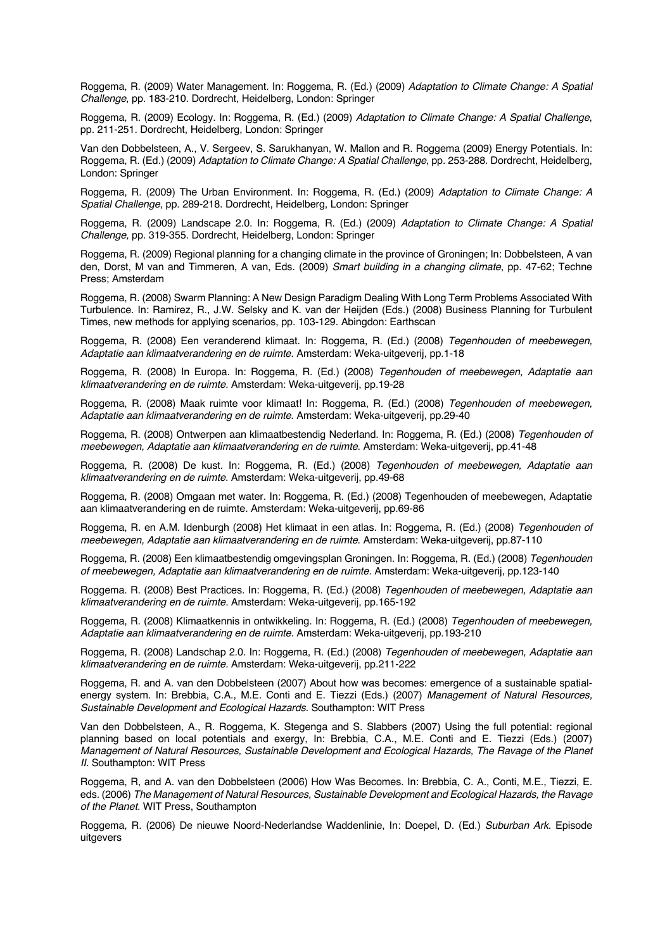Roggema, R. (2009) Water Management. In: Roggema, R. (Ed.) (2009) *Adaptation to Climate Change: A Spatial Challenge*, pp. 183-210. Dordrecht, Heidelberg, London: Springer

Roggema, R. (2009) Ecology. In: Roggema, R. (Ed.) (2009) *Adaptation to Climate Change: A Spatial Challenge*, pp. 211-251. Dordrecht, Heidelberg, London: Springer

Van den Dobbelsteen, A., V. Sergeev, S. Sarukhanyan, W. Mallon and R. Roggema (2009) Energy Potentials. In: Roggema, R. (Ed.) (2009) *Adaptation to Climate Change: A Spatial Challenge*, pp. 253-288. Dordrecht, Heidelberg, London: Springer

Roggema, R. (2009) The Urban Environment. In: Roggema, R. (Ed.) (2009) *Adaptation to Climate Change: A Spatial Challenge*, pp. 289-218. Dordrecht, Heidelberg, London: Springer

Roggema, R. (2009) Landscape 2.0. In: Roggema, R. (Ed.) (2009) *Adaptation to Climate Change: A Spatial Challenge,* pp. 319-355. Dordrecht, Heidelberg, London: Springer

Roggema, R. (2009) Regional planning for a changing climate in the province of Groningen; In: Dobbelsteen, A van den, Dorst, M van and Timmeren, A van, Eds. (2009) *Smart building in a changing climate*, pp. 47-62; Techne Press; Amsterdam

Roggema, R. (2008) Swarm Planning: A New Design Paradigm Dealing With Long Term Problems Associated With Turbulence. In: Ramirez, R., J.W. Selsky and K. van der Heijden (Eds.) (2008) Business Planning for Turbulent Times, new methods for applying scenarios, pp. 103-129. Abingdon: Earthscan

Roggema, R. (2008) Een veranderend klimaat. In: Roggema, R. (Ed.) (2008) *Tegenhouden of meebewegen, Adaptatie aan klimaatverandering en de ruimte.* Amsterdam: Weka-uitgeverij, pp.1-18

Roggema, R. (2008) In Europa. In: Roggema, R. (Ed.) (2008) *Tegenhouden of meebewegen, Adaptatie aan klimaatverandering en de ruimte.* Amsterdam: Weka-uitgeverij, pp.19-28

Roggema, R. (2008) Maak ruimte voor klimaat! In: Roggema, R. (Ed.) (2008) *Tegenhouden of meebewegen, Adaptatie aan klimaatverandering en de ruimte*. Amsterdam: Weka-uitgeverij, pp.29-40

Roggema, R. (2008) Ontwerpen aan klimaatbestendig Nederland. In: Roggema, R. (Ed.) (2008) *Tegenhouden of meebewegen, Adaptatie aan klimaatverandering en de ruimte*. Amsterdam: Weka-uitgeverij, pp.41-48

Roggema, R. (2008) De kust. In: Roggema, R. (Ed.) (2008) *Tegenhouden of meebewegen, Adaptatie aan klimaatverandering en de ruimte*. Amsterdam: Weka-uitgeverij, pp.49-68

Roggema, R. (2008) Omgaan met water. In: Roggema, R. (Ed.) (2008) Tegenhouden of meebewegen, Adaptatie aan klimaatverandering en de ruimte. Amsterdam: Weka-uitgeverij, pp.69-86

Roggema, R. en A.M. Idenburgh (2008) Het klimaat in een atlas. In: Roggema, R. (Ed.) (2008) *Tegenhouden of meebewegen, Adaptatie aan klimaatverandering en de ruimte*. Amsterdam: Weka-uitgeverij, pp.87-110

Roggema, R. (2008) Een klimaatbestendig omgevingsplan Groningen. In: Roggema, R. (Ed.) (2008) *Tegenhouden of meebewegen, Adaptatie aan klimaatverandering en de ruimte.* Amsterdam: Weka-uitgeverij, pp.123-140

Roggema. R. (2008) Best Practices. In: Roggema, R. (Ed.) (2008) *Tegenhouden of meebewegen, Adaptatie aan klimaatverandering en de ruimte.* Amsterdam: Weka-uitgeverij, pp.165-192

Roggema, R. (2008) Klimaatkennis in ontwikkeling. In: Roggema, R. (Ed.) (2008) *Tegenhouden of meebewegen, Adaptatie aan klimaatverandering en de ruimte.* Amsterdam: Weka-uitgeverij, pp.193-210

Roggema, R. (2008) Landschap 2.0. In: Roggema, R. (Ed.) (2008) *Tegenhouden of meebewegen, Adaptatie aan klimaatverandering en de ruimte.* Amsterdam: Weka-uitgeverij, pp.211-222

Roggema, R. and A. van den Dobbelsteen (2007) About how was becomes: emergence of a sustainable spatialenergy system. In: Brebbia, C.A., M.E. Conti and E. Tiezzi (Eds.) (2007) *Management of Natural Resources, Sustainable Development and Ecological Hazards.* Southampton: WIT Press

Van den Dobbelsteen, A., R. Roggema, K. Stegenga and S. Slabbers (2007) Using the full potential: regional planning based on local potentials and exergy, In: Brebbia, C.A., M.E. Conti and E. Tiezzi (Eds.) (2007) *Management of Natural Resources, Sustainable Development and Ecological Hazards, The Ravage of the Planet II.* Southampton: WIT Press

Roggema, R, and A. van den Dobbelsteen (2006) How Was Becomes. In: Brebbia, C. A., Conti, M.E., Tiezzi, E. eds. (2006) *The Management of Natural Resources, Sustainable Development and Ecological Hazards, the Ravage of the Planet*. WIT Press, Southampton

Roggema, R. (2006) De nieuwe Noord-Nederlandse Waddenlinie, In: Doepel, D. (Ed.) *Suburban Ark*. Episode uitgevers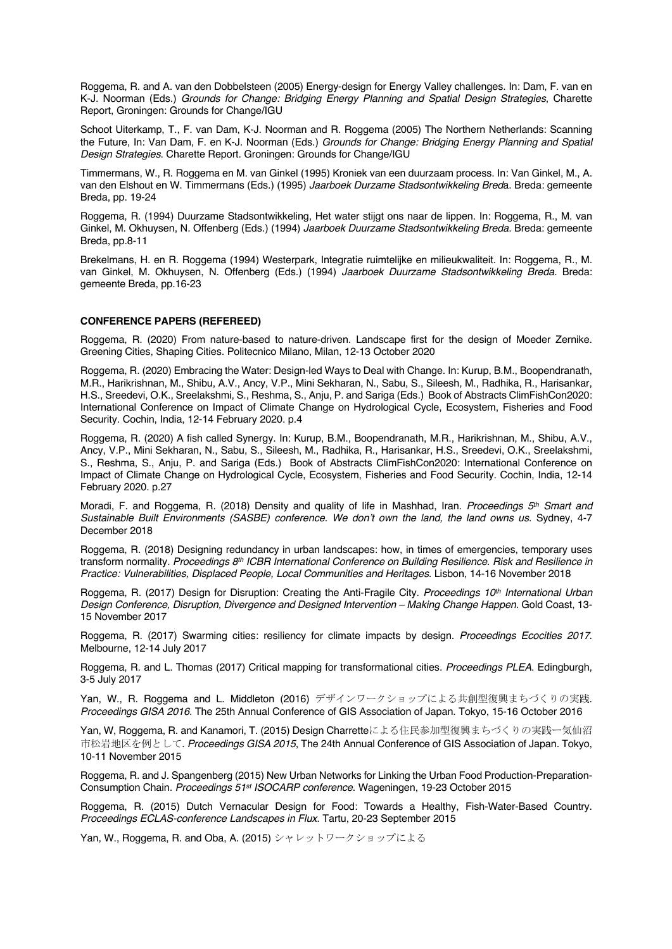Roggema, R. and A. van den Dobbelsteen (2005) Energy-design for Energy Valley challenges. In: Dam, F. van en K-J. Noorman (Eds.) *Grounds for Change: Bridging Energy Planning and Spatial Design Strategies*, Charette Report, Groningen: Grounds for Change/IGU

Schoot Uiterkamp, T., F. van Dam, K-J. Noorman and R. Roggema (2005) The Northern Netherlands: Scanning the Future, In: Van Dam, F. en K-J. Noorman (Eds.) *Grounds for Change: Bridging Energy Planning and Spatial Design Strategies*. Charette Report. Groningen: Grounds for Change/IGU

Timmermans, W., R. Roggema en M. van Ginkel (1995) Kroniek van een duurzaam process. In: Van Ginkel, M., A. van den Elshout en W. Timmermans (Eds.) (1995) *Jaarboek Durzame Stadsontwikkeling Bred*a. Breda: gemeente Breda, pp. 19-24

Roggema, R. (1994) Duurzame Stadsontwikkeling, Het water stijgt ons naar de lippen. In: Roggema, R., M. van Ginkel, M. Okhuysen, N. Offenberg (Eds.) (1994) *Jaarboek Duurzame Stadsontwikkeling Breda*. Breda: gemeente Breda, pp.8-11

Brekelmans, H. en R. Roggema (1994) Westerpark, Integratie ruimtelijke en milieukwaliteit. In: Roggema, R., M. van Ginkel, M. Okhuysen, N. Offenberg (Eds.) (1994) *Jaarboek Duurzame Stadsontwikkeling Breda.* Breda: gemeente Breda, pp.16-23

# **CONFERENCE PAPERS (REFEREED)**

Roggema, R. (2020) From nature-based to nature-driven. Landscape first for the design of Moeder Zernike. Greening Cities, Shaping Cities. Politecnico Milano, Milan, 12-13 October 2020

Roggema, R. (2020) Embracing the Water: Design-led Ways to Deal with Change. In: Kurup, B.M., Boopendranath, M.R., Harikrishnan, M., Shibu, A.V., Ancy, V.P., Mini Sekharan, N., Sabu, S., Sileesh, M., Radhika, R., Harisankar, H.S., Sreedevi, O.K., Sreelakshmi, S., Reshma, S., Anju, P. and Sariga (Eds.) Book of Abstracts ClimFishCon2020: International Conference on Impact of Climate Change on Hydrological Cycle, Ecosystem, Fisheries and Food Security. Cochin, India, 12-14 February 2020. p.4

Roggema, R. (2020) A fish called Synergy. In: Kurup, B.M., Boopendranath, M.R., Harikrishnan, M., Shibu, A.V., Ancy, V.P., Mini Sekharan, N., Sabu, S., Sileesh, M., Radhika, R., Harisankar, H.S., Sreedevi, O.K., Sreelakshmi, S., Reshma, S., Anju, P. and Sariga (Eds.) Book of Abstracts ClimFishCon2020: International Conference on Impact of Climate Change on Hydrological Cycle, Ecosystem, Fisheries and Food Security. Cochin, India, 12-14 February 2020. p.27

Moradi, F. and Roggema, R. (2018) Density and quality of life in Mashhad, Iran. *Proceedings 5th Smart and Sustainable Built Environments (SASBE) conference. We don't own the land, the land owns us*. Sydney, 4-7 December 2018

Roggema, R. (2018) Designing redundancy in urban landscapes: how, in times of emergencies, temporary uses transform normality*. Proceedings 8th ICBR International Conference on Building Resilience. Risk and Resilience in Practice: Vulnerabilities, Displaced People, Local Communities and Heritages.* Lisbon, 14-16 November 2018

Roggema, R. (2017) Design for Disruption: Creating the Anti-Fragile City. *Proceedings 10th International Urban Design Conference, Disruption, Divergence and Designed Intervention – Making Change Happen.* Gold Coast, 13- 15 November 2017

Roggema, R. (2017) Swarming cities: resiliency for climate impacts by design. *Proceedings Ecocities 2017*. Melbourne, 12-14 July 2017

Roggema, R. and L. Thomas (2017) Critical mapping for transformational cities. *Proceedings PLEA*. Edingburgh, 3-5 July 2017

Yan, W., R. Roggema and L. Middleton (2016) デザインワークショップによる共創型復興まちづくりの実践. *Proceedings GISA 2016*. The 25th Annual Conference of GIS Association of Japan. Tokyo, 15-16 October 2016

Yan, W, Roggema, R. and Kanamori, T. (2015) Design Charretteによる住民参加型復興まちづくりの実践ー気仙沼 市松岩地区を例として. *Proceedings GISA 2015*, The 24th Annual Conference of GIS Association of Japan. Tokyo, 10-11 November 2015

Roggema, R. and J. Spangenberg (2015) New Urban Networks for Linking the Urban Food Production-Preparation-Consumption Chain. *Proceedings 51st ISOCARP conference*. Wageningen, 19-23 October 2015

Roggema, R. (2015) Dutch Vernacular Design for Food: Towards a Healthy, Fish-Water-Based Country. *Proceedings ECLAS-conference Landscapes in Flux*. Tartu, 20-23 September 2015

Yan, W., Roggema, R. and Oba, A. (2015) シャレットワークショップによる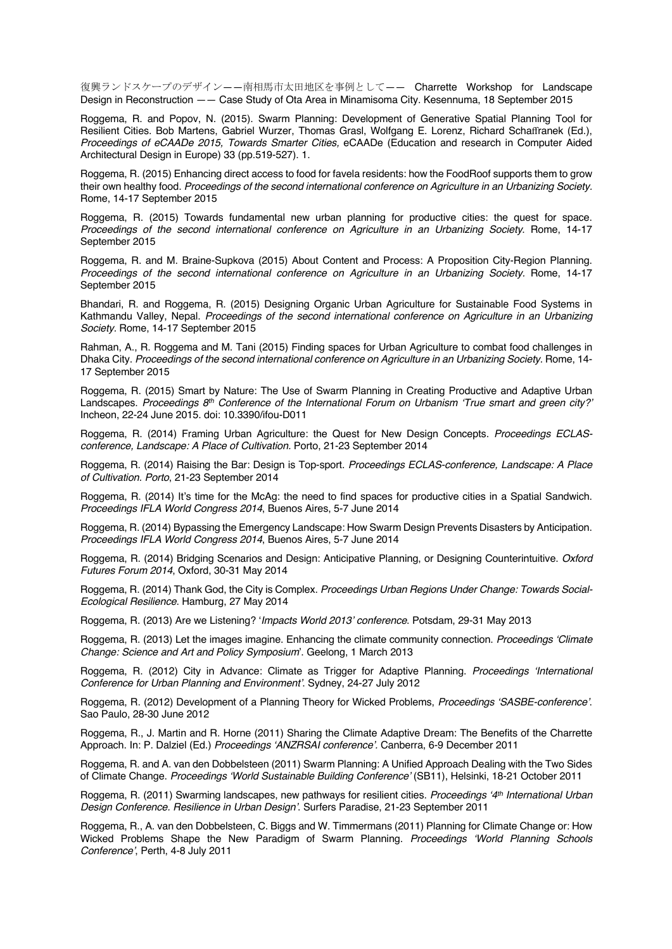復興ランドスケープのデザイン——南相馬市太田地区を事例として—— Charrette Workshop for Landscape Design in Reconstruction —— Case Study of Ota Area in Minamisoma City. Kesennuma, 18 September 2015

Roggema, R. and Popov, N. (2015). Swarm Planning: Development of Generative Spatial Planning Tool for Resilient Cities. Bob Martens, Gabriel Wurzer, Thomas Grasl, Wolfgang E. Lorenz, Richard Schaffranek (Ed.), *Proceedings of eCAADe 2015, Towards Smarter Cities,* eCAADe (Education and research in Computer Aided Architectural Design in Europe) 33 (pp.519-527). 1.

Roggema, R. (2015) Enhancing direct access to food for favela residents: how the FoodRoof supports them to grow their own healthy food. *Proceedings of the second international conference on Agriculture in an Urbanizing Society.* Rome, 14-17 September 2015

Roggema, R. (2015) Towards fundamental new urban planning for productive cities: the quest for space. *Proceedings of the second international conference on Agriculture in an Urbanizing Society*. Rome, 14-17 September 2015

Roggema, R. and M. Braine-Supkova (2015) About Content and Process: A Proposition City-Region Planning. *Proceedings of the second international conference on Agriculture in an Urbanizing Society.* Rome, 14-17 September 2015

Bhandari, R. and Roggema, R. (2015) Designing Organic Urban Agriculture for Sustainable Food Systems in Kathmandu Valley, Nepal. *Proceedings of the second international conference on Agriculture in an Urbanizing Society.* Rome, 14-17 September 2015

Rahman, A., R. Roggema and M. Tani (2015) Finding spaces for Urban Agriculture to combat food challenges in Dhaka City. *Proceedings of the second international conference on Agriculture in an Urbanizing Society.* Rome, 14- 17 September 2015

Roggema, R. (2015) Smart by Nature: The Use of Swarm Planning in Creating Productive and Adaptive Urban Landscapes. *Proceedings 8th Conference of the International Forum on Urbanism 'True smart and green city?'* Incheon, 22-24 June 2015. doi: 10.3390/ifou-D011

Roggema, R. (2014) Framing Urban Agriculture: the Quest for New Design Concepts. *Proceedings ECLASconference, Landscape: A Place of Cultivation.* Porto, 21-23 September 2014

Roggema, R. (2014) Raising the Bar: Design is Top-sport. *Proceedings ECLAS-conference, Landscape: A Place of Cultivation. Porto*, 21-23 September 2014

Roggema, R. (2014) It's time for the McAg: the need to find spaces for productive cities in a Spatial Sandwich. *Proceedings IFLA World Congress 2014*, Buenos Aires, 5-7 June 2014

Roggema, R. (2014) Bypassing the Emergency Landscape: How Swarm Design Prevents Disasters by Anticipation. *Proceedings IFLA World Congress 2014*, Buenos Aires, 5-7 June 2014

Roggema, R. (2014) Bridging Scenarios and Design: Anticipative Planning, or Designing Counterintuitive. *Oxford Futures Forum 2014*, Oxford, 30-31 May 2014

Roggema, R. (2014) Thank God, the City is Complex. *Proceedings Urban Regions Under Change: Towards Social-Ecological Resilience*. Hamburg, 27 May 2014

Roggema, R. (2013) Are we Listening? '*Impacts World 2013' conference*. Potsdam, 29-31 May 2013

Roggema, R. (2013) Let the images imagine. Enhancing the climate community connection. *Proceedings 'Climate Change: Science and Art and Policy Symposium*'. Geelong, 1 March 2013

Roggema, R. (2012) City in Advance: Climate as Trigger for Adaptive Planning. *Proceedings 'International Conference for Urban Planning and Environment'*. Sydney, 24-27 July 2012

Roggema, R. (2012) Development of a Planning Theory for Wicked Problems, *Proceedings 'SASBE-conference'*. Sao Paulo, 28-30 June 2012

Roggema, R., J. Martin and R. Horne (2011) Sharing the Climate Adaptive Dream: The Benefits of the Charrette Approach. In: P. Dalziel (Ed.) *Proceedings 'ANZRSAI conference'.* Canberra, 6-9 December 2011

Roggema, R. and A. van den Dobbelsteen (2011) Swarm Planning: A Unified Approach Dealing with the Two Sides of Climate Change. *Proceedings 'World Sustainable Building Conference'* (SB11), Helsinki, 18-21 October 2011

Roggema, R. (2011) Swarming landscapes, new pathways for resilient cities. *Proceedings '4th International Urban Design Conference. Resilience in Urban Design'*. Surfers Paradise, 21-23 September 2011

Roggema, R., A. van den Dobbelsteen, C. Biggs and W. Timmermans (2011) Planning for Climate Change or: How Wicked Problems Shape the New Paradigm of Swarm Planning. *Proceedings 'World Planning Schools Conference'*, Perth, 4-8 July 2011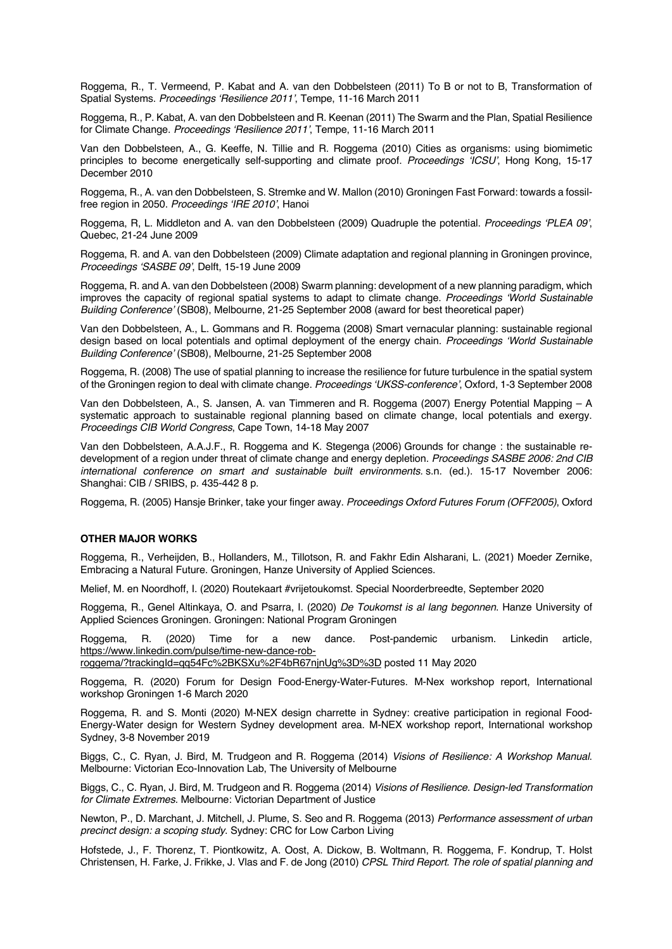Roggema, R., T. Vermeend, P. Kabat and A. van den Dobbelsteen (2011) To B or not to B, Transformation of Spatial Systems. *Proceedings 'Resilience 2011'*, Tempe, 11-16 March 2011

Roggema, R., P. Kabat, A. van den Dobbelsteen and R. Keenan (2011) The Swarm and the Plan, Spatial Resilience for Climate Change. *Proceedings 'Resilience 2011'*, Tempe, 11-16 March 2011

Van den Dobbelsteen, A., G. Keeffe, N. Tillie and R. Roggema (2010) Cities as organisms: using biomimetic principles to become energetically self-supporting and climate proof. *Proceedings 'ICSU'*, Hong Kong, 15-17 December 2010

Roggema, R., A. van den Dobbelsteen, S. Stremke and W. Mallon (2010) Groningen Fast Forward: towards a fossilfree region in 2050. *Proceedings 'IRE 2010'*, Hanoi

Roggema, R, L. Middleton and A. van den Dobbelsteen (2009) Quadruple the potential. *Proceedings 'PLEA 09'*, Quebec, 21-24 June 2009

Roggema, R. and A. van den Dobbelsteen (2009) Climate adaptation and regional planning in Groningen province, *Proceedings 'SASBE 09'*, Delft, 15-19 June 2009

Roggema, R. and A. van den Dobbelsteen (2008) Swarm planning: development of a new planning paradigm, which improves the capacity of regional spatial systems to adapt to climate change. *Proceedings 'World Sustainable Building Conference'* (SB08), Melbourne, 21-25 September 2008 (award for best theoretical paper)

Van den Dobbelsteen, A., L. Gommans and R. Roggema (2008) Smart vernacular planning: sustainable regional design based on local potentials and optimal deployment of the energy chain. *Proceedings 'World Sustainable Building Conference'* (SB08), Melbourne, 21-25 September 2008

Roggema, R. (2008) The use of spatial planning to increase the resilience for future turbulence in the spatial system of the Groningen region to deal with climate change. *Proceedings 'UKSS-conference'*, Oxford, 1-3 September 2008

Van den Dobbelsteen, A., S. Jansen, A. van Timmeren and R. Roggema (2007) Energy Potential Mapping – A systematic approach to sustainable regional planning based on climate change, local potentials and exergy. *Proceedings CIB World Congress*, Cape Town, 14-18 May 2007

Van den Dobbelsteen, A.A.J.F., R. Roggema and K. Stegenga (2006) Grounds for change : the sustainable redevelopment of a region under threat of climate change and energy depletion. *Proceedings SASBE 2006: 2nd CIB international conference on smart and sustainable built environments.* s.n. (ed.). 15-17 November 2006: Shanghai: CIB / SRIBS, p. 435-442 8 p.

Roggema, R. (2005) Hansje Brinker, take your finger away. *Proceedings Oxford Futures Forum (OFF2005)*, Oxford

# **OTHER MAJOR WORKS**

Roggema, R., Verheijden, B., Hollanders, M., Tillotson, R. and Fakhr Edin Alsharani, L. (2021) Moeder Zernike, Embracing a Natural Future. Groningen, Hanze University of Applied Sciences.

Melief, M. en Noordhoff, I. (2020) Routekaart #vrijetoukomst. Special Noorderbreedte, September 2020

Roggema, R., Genel Altinkaya, O. and Psarra, I. (2020) *De Toukomst is al lang begonnen*. Hanze University of Applied Sciences Groningen. Groningen: National Program Groningen

Roggema, R. (2020) Time for a new dance. Post-pandemic urbanism. Linkedin article, https://www.linkedin.com/pulse/time-new-dance-rob-

roggema/?trackingId=qq54Fc%2BKSXu%2F4bR67njnUg%3D%3D posted 11 May 2020

Roggema, R. (2020) Forum for Design Food-Energy-Water-Futures. M-Nex workshop report, International workshop Groningen 1-6 March 2020

Roggema, R. and S. Monti (2020) M-NEX design charrette in Sydney: creative participation in regional Food-Energy-Water design for Western Sydney development area. M-NEX workshop report, International workshop Sydney, 3-8 November 2019

Biggs, C., C. Ryan, J. Bird, M. Trudgeon and R. Roggema (2014) *Visions of Resilience: A Workshop Manual*. Melbourne: Victorian Eco-Innovation Lab, The University of Melbourne

Biggs, C., C. Ryan, J. Bird, M. Trudgeon and R. Roggema (2014) *Visions of Resilience. Design-led Transformation for Climate Extremes.* Melbourne: Victorian Department of Justice

Newton, P., D. Marchant, J. Mitchell, J. Plume, S. Seo and R. Roggema (2013) *Performance assessment of urban precinct design: a scoping study*. Sydney: CRC for Low Carbon Living

Hofstede, J., F. Thorenz, T. Piontkowitz, A. Oost, A. Dickow, B. Woltmann, R. Roggema, F. Kondrup, T. Holst Christensen, H. Farke, J. Frikke, J. Vlas and F. de Jong (2010) *CPSL Third Report. The role of spatial planning and*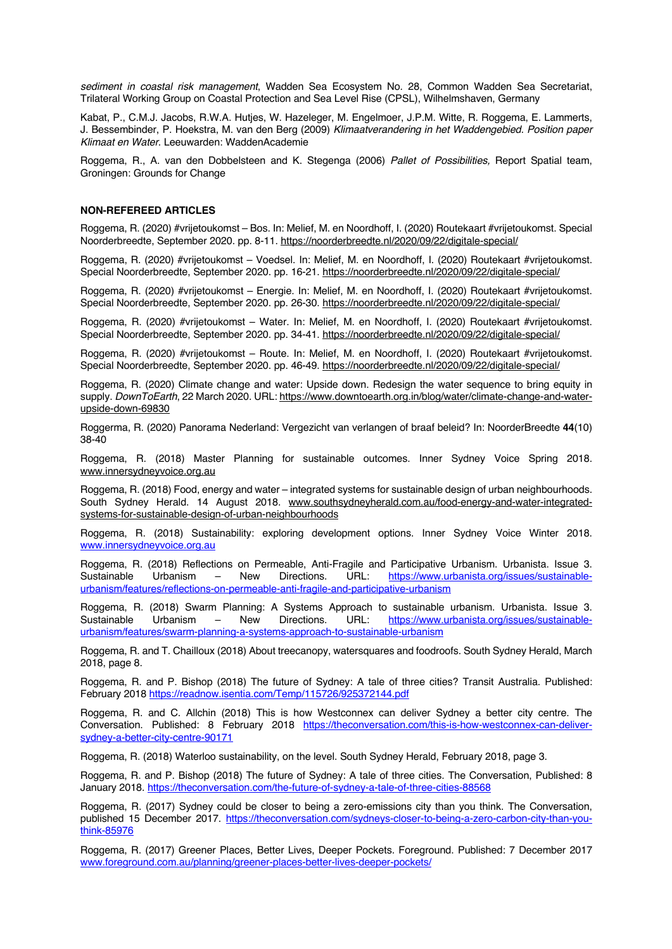*sediment in coastal risk management*, Wadden Sea Ecosystem No. 28, Common Wadden Sea Secretariat, Trilateral Working Group on Coastal Protection and Sea Level Rise (CPSL), Wilhelmshaven, Germany

Kabat, P., C.M.J. Jacobs, R.W.A. Hutjes, W. Hazeleger, M. Engelmoer, J.P.M. Witte, R. Roggema, E. Lammerts, J. Bessembinder, P. Hoekstra, M. van den Berg (2009) *Klimaatverandering in het Waddengebied. Position paper Klimaat en Water*. Leeuwarden: WaddenAcademie

Roggema, R., A. van den Dobbelsteen and K. Stegenga (2006) *Pallet of Possibilities,* Report Spatial team, Groningen: Grounds for Change

### **NON-REFEREED ARTICLES**

Roggema, R. (2020) #vrijetoukomst – Bos. In: Melief, M. en Noordhoff, I. (2020) Routekaart #vrijetoukomst. Special Noorderbreedte, September 2020. pp. 8-11. https://noorderbreedte.nl/2020/09/22/digitale-special/

Roggema, R. (2020) #vrijetoukomst – Voedsel. In: Melief, M. en Noordhoff, I. (2020) Routekaart #vrijetoukomst. Special Noorderbreedte, September 2020. pp. 16-21. https://noorderbreedte.nl/2020/09/22/digitale-special/

Roggema, R. (2020) #vrijetoukomst – Energie. In: Melief, M. en Noordhoff, I. (2020) Routekaart #vrijetoukomst. Special Noorderbreedte, September 2020. pp. 26-30. https://noorderbreedte.nl/2020/09/22/digitale-special/

Roggema, R. (2020) #vrijetoukomst – Water. In: Melief, M. en Noordhoff, I. (2020) Routekaart #vrijetoukomst. Special Noorderbreedte, September 2020. pp. 34-41. https://noorderbreedte.nl/2020/09/22/digitale-special/

Roggema, R. (2020) #vrijetoukomst – Route. In: Melief, M. en Noordhoff, I. (2020) Routekaart #vrijetoukomst. Special Noorderbreedte, September 2020. pp. 46-49. https://noorderbreedte.nl/2020/09/22/digitale-special/

Roggema, R. (2020) Climate change and water: Upside down. Redesign the water sequence to bring equity in supply. *DownToEarth*, 22 March 2020. URL: https://www.downtoearth.org.in/blog/water/climate-change-and-waterupside-down-69830

Roggerma, R. (2020) Panorama Nederland: Vergezicht van verlangen of braaf beleid? In: NoorderBreedte **44**(10) 38-40

Roggema, R. (2018) Master Planning for sustainable outcomes. Inner Sydney Voice Spring 2018. www.innersydneyvoice.org.au

Roggema, R. (2018) Food, energy and water – integrated systems for sustainable design of urban neighbourhoods. South Sydney Herald. 14 August 2018. www.southsydneyherald.com.au/food-energy-and-water-integratedsystems-for-sustainable-design-of-urban-neighbourhoods

Roggema, R. (2018) Sustainability: exploring development options. Inner Sydney Voice Winter 2018. www.innersydneyvoice.org.au

Roggema, R. (2018) Reflections on Permeable, Anti-Fragile and Participative Urbanism. Urbanista. Issue 3.<br>Sustainable Urbanism – New Directions. URL: https://www.urbanista.org/issues/sustainable-Sustainable Urbanism – New Directions. URL: https://www.urbanista.org/issues/sustainableurbanism/features/reflections-on-permeable-anti-fragile-and-participative-urbanism

Roggema, R. (2018) Swarm Planning: A Systems Approach to sustainable urbanism. Urbanista. Issue 3. Sustainable Urbanism – New Directions. URL: https://www.urbanista.org/issues/sustainableurbanism/features/swarm-planning-a-systems-approach-to-sustainable-urbanism

Roggema, R. and T. Chailloux (2018) About treecanopy, watersquares and foodroofs. South Sydney Herald, March 2018, page 8.

Roggema, R. and P. Bishop (2018) The future of Sydney: A tale of three cities? Transit Australia. Published: February 2018 https://readnow.isentia.com/Temp/115726/925372144.pdf

Roggema, R. and C. Allchin (2018) This is how Westconnex can deliver Sydney a better city centre. The Conversation. Published: 8 February 2018 https://theconversation.com/this-is-how-westconnex-can-deliversydney-a-better-city-centre-90171

Roggema, R. (2018) Waterloo sustainability, on the level. South Sydney Herald, February 2018, page 3.

Roggema, R. and P. Bishop (2018) The future of Sydney: A tale of three cities. The Conversation, Published: 8 January 2018. https://theconversation.com/the-future-of-sydney-a-tale-of-three-cities-88568

Roggema, R. (2017) Sydney could be closer to being a zero-emissions city than you think. The Conversation, published 15 December 2017. https://theconversation.com/sydneys-closer-to-being-a-zero-carbon-city-than-youthink-85976

Roggema, R. (2017) Greener Places, Better Lives, Deeper Pockets. Foreground. Published: 7 December 2017 www.foreground.com.au/planning/greener-places-better-lives-deeper-pockets/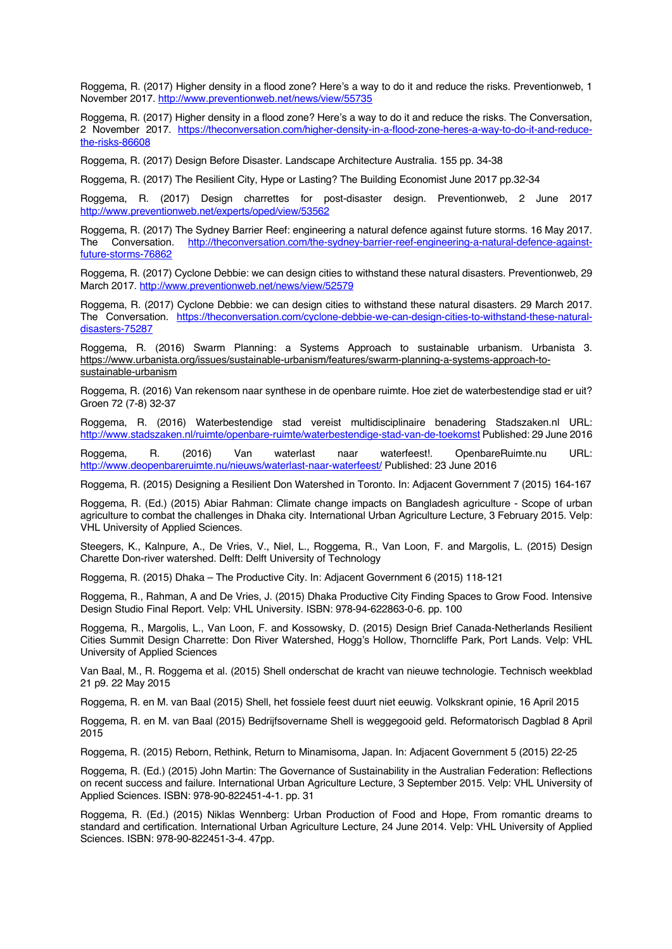Roggema, R. (2017) Higher density in a flood zone? Here's a way to do it and reduce the risks. Preventionweb, 1 November 2017. http://www.preventionweb.net/news/view/55735

Roggema, R. (2017) Higher density in a flood zone? Here's a way to do it and reduce the risks. The Conversation, 2 November 2017. https://theconversation.com/higher-density-in-a-flood-zone-heres-a-way-to-do-it-and-reducethe-risks-86608

Roggema, R. (2017) Design Before Disaster. Landscape Architecture Australia. 155 pp. 34-38

Roggema, R. (2017) The Resilient City, Hype or Lasting? The Building Economist June 2017 pp.32-34

Roggema, R. (2017) Design charrettes for post-disaster design. Preventionweb, 2 June 2017 http://www.preventionweb.net/experts/oped/view/53562

Roggema, R. (2017) The Sydney Barrier Reef: engineering a natural defence against future storms. 16 May 2017. The Conversation. http://theconversation.com/the-sydney-barrier-reef-engineering-a-natural-defence-againstfuture-storms-76862

Roggema, R. (2017) Cyclone Debbie: we can design cities to withstand these natural disasters. Preventionweb, 29 March 2017. http://www.preventionweb.net/news/view/52579

Roggema, R. (2017) Cyclone Debbie: we can design cities to withstand these natural disasters. 29 March 2017. The Conversation. https://theconversation.com/cyclone-debbie-we-can-design-cities-to-withstand-these-naturaldisasters-75287

Roggema, R. (2016) Swarm Planning: a Systems Approach to sustainable urbanism. Urbanista 3. https://www.urbanista.org/issues/sustainable-urbanism/features/swarm-planning-a-systems-approach-tosustainable-urbanism

Roggema, R. (2016) Van rekensom naar synthese in de openbare ruimte. Hoe ziet de waterbestendige stad er uit? Groen 72 (7-8) 32-37

Roggema, R. (2016) Waterbestendige stad vereist multidisciplinaire benadering Stadszaken.nl URL: http://www.stadszaken.nl/ruimte/openbare-ruimte/waterbestendige-stad-van-de-toekomst Published: 29 June 2016

Roggema, R. (2016) Van waterlast naar waterfeest!. OpenbareRuimte.nu URL: http://www.deopenbareruimte.nu/nieuws/waterlast-naar-waterfeest/ Published: 23 June 2016

Roggema, R. (2015) Designing a Resilient Don Watershed in Toronto. In: Adjacent Government 7 (2015) 164-167

Roggema, R. (Ed.) (2015) Abiar Rahman: Climate change impacts on Bangladesh agriculture - Scope of urban agriculture to combat the challenges in Dhaka city. International Urban Agriculture Lecture, 3 February 2015. Velp: VHL University of Applied Sciences.

Steegers, K., Kalnpure, A., De Vries, V., Niel, L., Roggema, R., Van Loon, F. and Margolis, L. (2015) Design Charette Don-river watershed. Delft: Delft University of Technology

Roggema, R. (2015) Dhaka – The Productive City. In: Adjacent Government 6 (2015) 118-121

Roggema, R., Rahman, A and De Vries, J. (2015) Dhaka Productive City Finding Spaces to Grow Food. Intensive Design Studio Final Report. Velp: VHL University. ISBN: 978-94-622863-0-6. pp. 100

Roggema, R., Margolis, L., Van Loon, F. and Kossowsky, D. (2015) Design Brief Canada-Netherlands Resilient Cities Summit Design Charrette: Don River Watershed, Hogg's Hollow, Thorncliffe Park, Port Lands. Velp: VHL University of Applied Sciences

Van Baal, M., R. Roggema et al. (2015) Shell onderschat de kracht van nieuwe technologie. Technisch weekblad 21 p9. 22 May 2015

Roggema, R. en M. van Baal (2015) Shell, het fossiele feest duurt niet eeuwig. Volkskrant opinie, 16 April 2015

Roggema, R. en M. van Baal (2015) Bedrijfsovername Shell is weggegooid geld. Reformatorisch Dagblad 8 April 2015

Roggema, R. (2015) Reborn, Rethink, Return to Minamisoma, Japan. In: Adjacent Government 5 (2015) 22-25

Roggema, R. (Ed.) (2015) John Martin: The Governance of Sustainability in the Australian Federation: Reflections on recent success and failure. International Urban Agriculture Lecture, 3 September 2015. Velp: VHL University of Applied Sciences. ISBN: 978-90-822451-4-1. pp. 31

Roggema, R. (Ed.) (2015) Niklas Wennberg: Urban Production of Food and Hope, From romantic dreams to standard and certification. International Urban Agriculture Lecture, 24 June 2014. Velp: VHL University of Applied Sciences. ISBN: 978-90-822451-3-4. 47pp.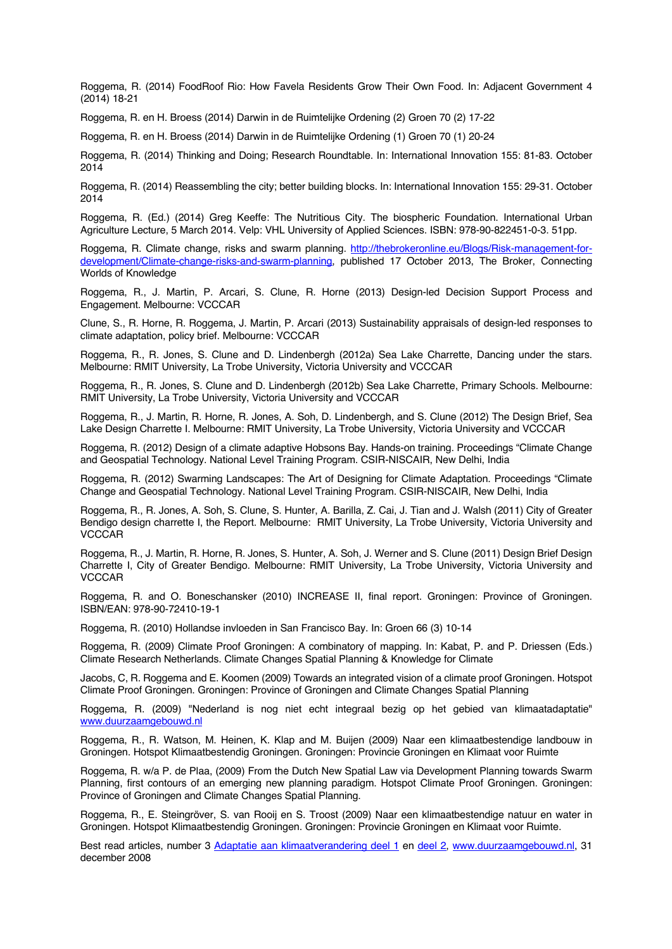Roggema, R. (2014) FoodRoof Rio: How Favela Residents Grow Their Own Food. In: Adjacent Government 4 (2014) 18-21

Roggema, R. en H. Broess (2014) Darwin in de Ruimtelijke Ordening (2) Groen 70 (2) 17-22

Roggema, R. en H. Broess (2014) Darwin in de Ruimtelijke Ordening (1) Groen 70 (1) 20-24

Roggema, R. (2014) Thinking and Doing; Research Roundtable. In: International Innovation 155: 81-83. October 2014

Roggema, R. (2014) Reassembling the city; better building blocks. In: International Innovation 155: 29-31. October 2014

Roggema, R. (Ed.) (2014) Greg Keeffe: The Nutritious City. The biospheric Foundation. International Urban Agriculture Lecture, 5 March 2014. Velp: VHL University of Applied Sciences. ISBN: 978-90-822451-0-3. 51pp.

Roggema, R. Climate change, risks and swarm planning. http://thebrokeronline.eu/Blogs/Risk-management-fordevelopment/Climate-change-risks-and-swarm-planning, published 17 October 2013, The Broker, Connecting Worlds of Knowledge

Roggema, R., J. Martin, P. Arcari, S. Clune, R. Horne (2013) Design-led Decision Support Process and Engagement. Melbourne: VCCCAR

Clune, S., R. Horne, R. Roggema, J. Martin, P. Arcari (2013) Sustainability appraisals of design-led responses to climate adaptation, policy brief. Melbourne: VCCCAR

Roggema, R., R. Jones, S. Clune and D. Lindenbergh (2012a) Sea Lake Charrette, Dancing under the stars. Melbourne: RMIT University, La Trobe University, Victoria University and VCCCAR

Roggema, R., R. Jones, S. Clune and D. Lindenbergh (2012b) Sea Lake Charrette, Primary Schools. Melbourne: RMIT University, La Trobe University, Victoria University and VCCCAR

Roggema, R., J. Martin, R. Horne, R. Jones, A. Soh, D. Lindenbergh, and S. Clune (2012) The Design Brief, Sea Lake Design Charrette I. Melbourne: RMIT University, La Trobe University, Victoria University and VCCCAR

Roggema, R. (2012) Design of a climate adaptive Hobsons Bay. Hands-on training. Proceedings "Climate Change and Geospatial Technology. National Level Training Program. CSIR-NISCAIR, New Delhi, India

Roggema, R. (2012) Swarming Landscapes: The Art of Designing for Climate Adaptation. Proceedings "Climate Change and Geospatial Technology. National Level Training Program. CSIR-NISCAIR, New Delhi, India

Roggema, R., R. Jones, A. Soh, S. Clune, S. Hunter, A. Barilla, Z. Cai, J. Tian and J. Walsh (2011) City of Greater Bendigo design charrette I, the Report. Melbourne: RMIT University, La Trobe University, Victoria University and **VCCCAR** 

Roggema, R., J. Martin, R. Horne, R. Jones, S. Hunter, A. Soh, J. Werner and S. Clune (2011) Design Brief Design Charrette I, City of Greater Bendigo. Melbourne: RMIT University, La Trobe University, Victoria University and **VCCCAR** 

Roggema, R. and O. Boneschansker (2010) INCREASE II, final report. Groningen: Province of Groningen. ISBN/EAN: 978-90-72410-19-1

Roggema, R. (2010) Hollandse invloeden in San Francisco Bay. In: Groen 66 (3) 10-14

Roggema, R. (2009) Climate Proof Groningen: A combinatory of mapping. In: Kabat, P. and P. Driessen (Eds.) Climate Research Netherlands. Climate Changes Spatial Planning & Knowledge for Climate

Jacobs, C, R. Roggema and E. Koomen (2009) Towards an integrated vision of a climate proof Groningen. Hotspot Climate Proof Groningen. Groningen: Province of Groningen and Climate Changes Spatial Planning

Roggema, R. (2009) "Nederland is nog niet echt integraal bezig op het gebied van klimaatadaptatie" www.duurzaamgebouwd.nl

Roggema, R., R. Watson, M. Heinen, K. Klap and M. Buijen (2009) Naar een klimaatbestendige landbouw in Groningen. Hotspot Klimaatbestendig Groningen. Groningen: Provincie Groningen en Klimaat voor Ruimte

Roggema, R. w/a P. de Plaa, (2009) From the Dutch New Spatial Law via Development Planning towards Swarm Planning, first contours of an emerging new planning paradigm. Hotspot Climate Proof Groningen. Groningen: Province of Groningen and Climate Changes Spatial Planning.

Roggema, R., E. Steingröver, S. van Rooij en S. Troost (2009) Naar een klimaatbestendige natuur en water in Groningen. Hotspot Klimaatbestendig Groningen. Groningen: Provincie Groningen en Klimaat voor Ruimte.

Best read articles, number 3 Adaptatie aan klimaatverandering deel 1 en deel 2, www.duurzaamgebouwd.nl, 31 december 2008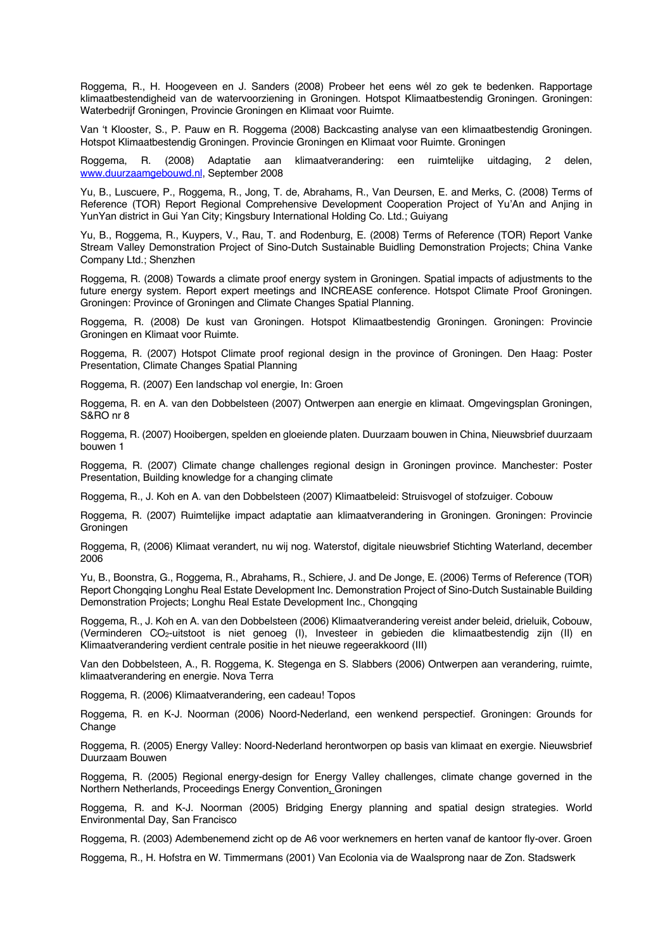Roggema, R., H. Hoogeveen en J. Sanders (2008) Probeer het eens wél zo gek te bedenken. Rapportage klimaatbestendigheid van de watervoorziening in Groningen. Hotspot Klimaatbestendig Groningen. Groningen: Waterbedrijf Groningen, Provincie Groningen en Klimaat voor Ruimte.

Van 't Klooster, S., P. Pauw en R. Roggema (2008) Backcasting analyse van een klimaatbestendig Groningen. Hotspot Klimaatbestendig Groningen. Provincie Groningen en Klimaat voor Ruimte. Groningen

Roggema, R. (2008) Adaptatie aan klimaatverandering: een ruimtelijke uitdaging, 2 delen, www.duurzaamgebouwd.nl, September 2008

Yu, B., Luscuere, P., Roggema, R., Jong, T. de, Abrahams, R., Van Deursen, E. and Merks, C. (2008) Terms of Reference (TOR) Report Regional Comprehensive Development Cooperation Project of Yu'An and Anjing in YunYan district in Gui Yan City; Kingsbury International Holding Co. Ltd.; Guiyang

Yu, B., Roggema, R., Kuypers, V., Rau, T. and Rodenburg, E. (2008) Terms of Reference (TOR) Report Vanke Stream Valley Demonstration Project of Sino-Dutch Sustainable Buidling Demonstration Projects; China Vanke Company Ltd.; Shenzhen

Roggema, R. (2008) Towards a climate proof energy system in Groningen. Spatial impacts of adjustments to the future energy system. Report expert meetings and INCREASE conference. Hotspot Climate Proof Groningen. Groningen: Province of Groningen and Climate Changes Spatial Planning.

Roggema, R. (2008) De kust van Groningen. Hotspot Klimaatbestendig Groningen. Groningen: Provincie Groningen en Klimaat voor Ruimte.

Roggema, R. (2007) Hotspot Climate proof regional design in the province of Groningen. Den Haag: Poster Presentation, Climate Changes Spatial Planning

Roggema, R. (2007) Een landschap vol energie, In: Groen

Roggema, R. en A. van den Dobbelsteen (2007) Ontwerpen aan energie en klimaat. Omgevingsplan Groningen, S&RO nr 8

Roggema, R. (2007) Hooibergen, spelden en gloeiende platen. Duurzaam bouwen in China, Nieuwsbrief duurzaam bouwen 1

Roggema, R. (2007) Climate change challenges regional design in Groningen province. Manchester: Poster Presentation, Building knowledge for a changing climate

Roggema, R., J. Koh en A. van den Dobbelsteen (2007) Klimaatbeleid: Struisvogel of stofzuiger. Cobouw

Roggema, R. (2007) Ruimtelijke impact adaptatie aan klimaatverandering in Groningen. Groningen: Provincie Groningen

Roggema, R, (2006) Klimaat verandert, nu wij nog. Waterstof, digitale nieuwsbrief Stichting Waterland, december 2006

Yu, B., Boonstra, G., Roggema, R., Abrahams, R., Schiere, J. and De Jonge, E. (2006) Terms of Reference (TOR) Report Chongqing Longhu Real Estate Development Inc. Demonstration Project of Sino-Dutch Sustainable Building Demonstration Projects; Longhu Real Estate Development Inc., Chongqing

Roggema, R., J. Koh en A. van den Dobbelsteen (2006) Klimaatverandering vereist ander beleid, drieluik, Cobouw, (Verminderen CO2-uitstoot is niet genoeg (I), Investeer in gebieden die klimaatbestendig zijn (II) en Klimaatverandering verdient centrale positie in het nieuwe regeerakkoord (III)

Van den Dobbelsteen, A., R. Roggema, K. Stegenga en S. Slabbers (2006) Ontwerpen aan verandering, ruimte, klimaatverandering en energie. Nova Terra

Roggema, R. (2006) Klimaatverandering, een cadeau! Topos

Roggema, R. en K-J. Noorman (2006) Noord-Nederland, een wenkend perspectief. Groningen: Grounds for **Change** 

Roggema, R. (2005) Energy Valley: Noord-Nederland herontworpen op basis van klimaat en exergie. Nieuwsbrief Duurzaam Bouwen

Roggema, R. (2005) Regional energy-design for Energy Valley challenges, climate change governed in the Northern Netherlands, Proceedings Energy Convention, Groningen

Roggema, R. and K-J. Noorman (2005) Bridging Energy planning and spatial design strategies. World Environmental Day, San Francisco

Roggema, R. (2003) Adembenemend zicht op de A6 voor werknemers en herten vanaf de kantoor fly-over. Groen

Roggema, R., H. Hofstra en W. Timmermans (2001) Van Ecolonia via de Waalsprong naar de Zon. Stadswerk